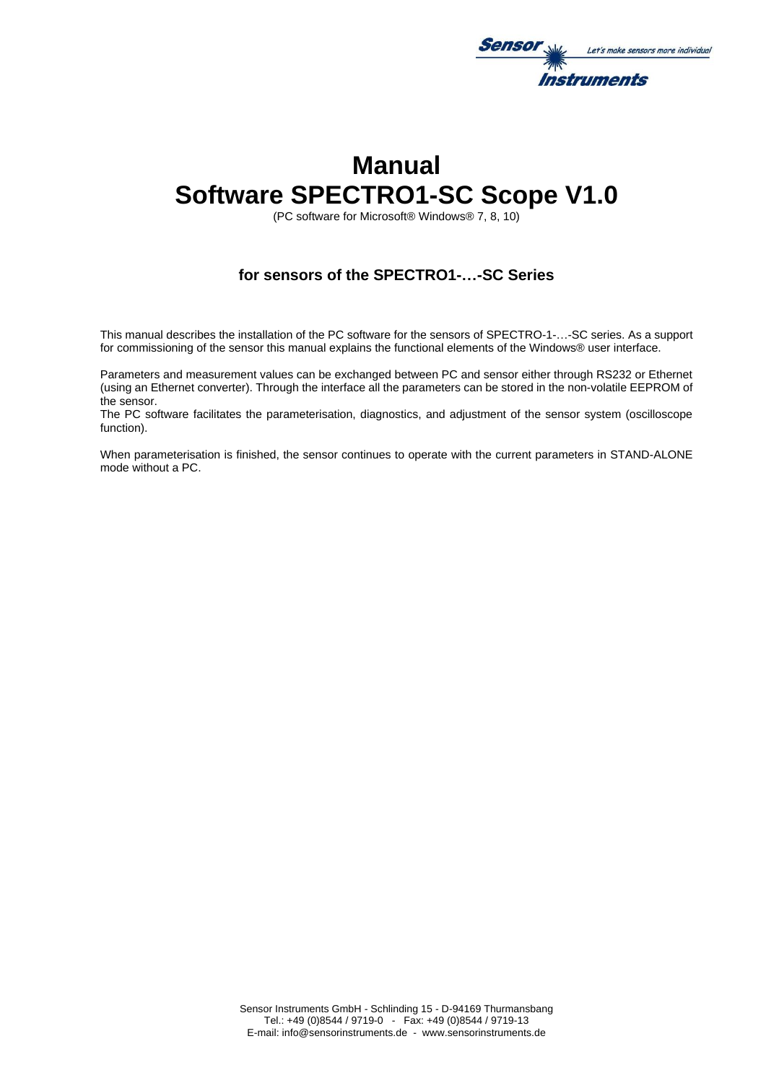

# **Manual Software SPECTRO1-SC Scope V1.0**

(PC software for Microsoft® Windows® 7, 8, 10)

# **for sensors of the SPECTRO1-…-SC Series**

This manual describes the installation of the PC software for the sensors of SPECTRO-1-…-SC series. As a support for commissioning of the sensor this manual explains the functional elements of the Windows® user interface.

Parameters and measurement values can be exchanged between PC and sensor either through RS232 or Ethernet (using an Ethernet converter). Through the interface all the parameters can be stored in the non-volatile EEPROM of the sensor.

The PC software facilitates the parameterisation, diagnostics, and adjustment of the sensor system (oscilloscope function).

When parameterisation is finished, the sensor continues to operate with the current parameters in STAND-ALONE mode without a PC.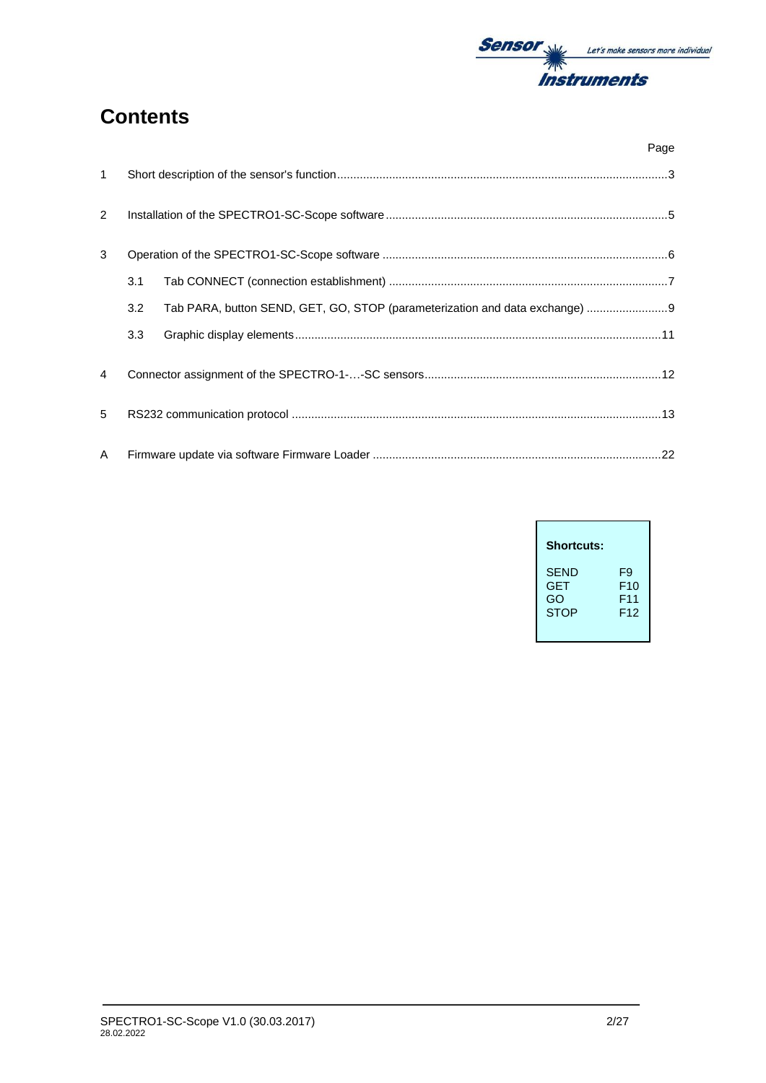

# **Contents**

|                |                  | Page                                                                         |
|----------------|------------------|------------------------------------------------------------------------------|
| $\mathbf{1}$   |                  |                                                                              |
| $\overline{2}$ |                  |                                                                              |
| 3              |                  |                                                                              |
|                | 3.1              |                                                                              |
|                | 3.2              | Tab PARA, button SEND, GET, GO, STOP (parameterization and data exchange)  9 |
|                | 3.3 <sub>2</sub> |                                                                              |
| 4              |                  |                                                                              |
| 5              |                  |                                                                              |
| A              |                  |                                                                              |

| <b>Shortcuts:</b> |                 |
|-------------------|-----------------|
| <b>SEND</b>       | F9              |
| <b>GET</b>        | F <sub>10</sub> |
| GO                | F <sub>11</sub> |
| <b>STOP</b>       | F <sub>12</sub> |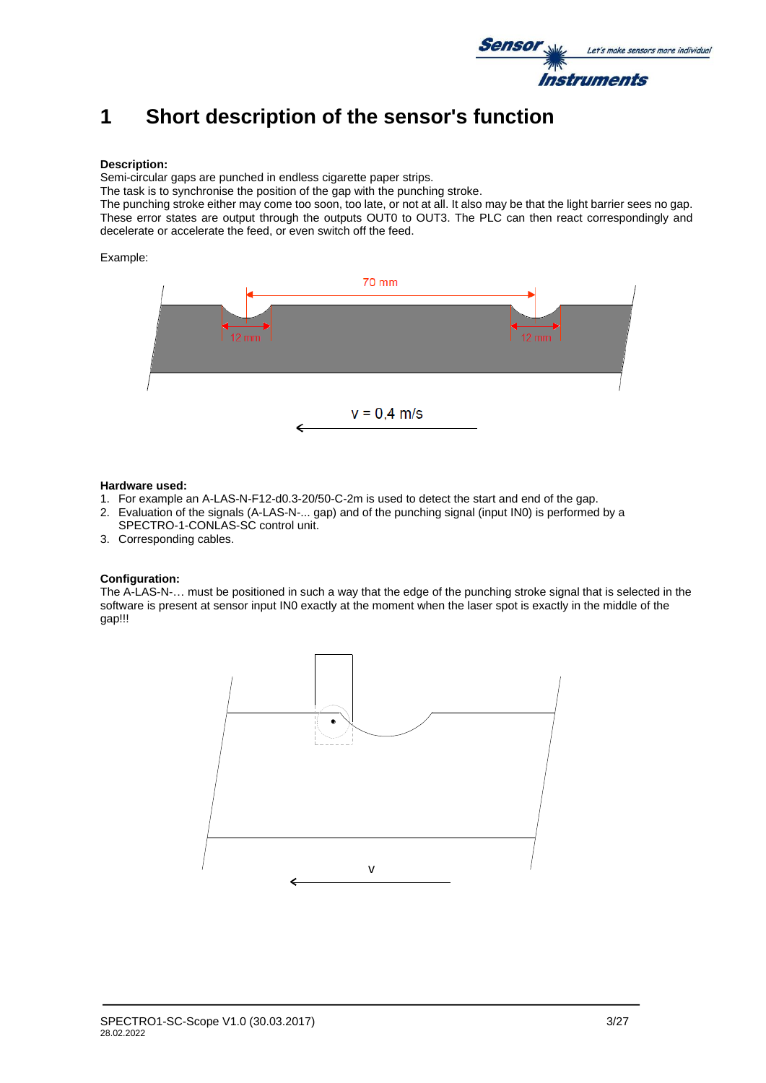

# **1 Short description of the sensor's function**

#### **Description:**

Semi-circular gaps are punched in endless cigarette paper strips.

The task is to synchronise the position of the gap with the punching stroke.

The punching stroke either may come too soon, too late, or not at all. It also may be that the light barrier sees no gap. These error states are output through the outputs OUT0 to OUT3. The PLC can then react correspondingly and decelerate or accelerate the feed, or even switch off the feed.

#### Example:



#### **Hardware used:**

- 1. For example an A-LAS-N-F12-d0.3-20/50-C-2m is used to detect the start and end of the gap.
- 2. Evaluation of the signals (A-LAS-N-... gap) and of the punching signal (input IN0) is performed by a
- SPECTRO-1-CONLAS-SC control unit. 3. Corresponding cables.

**Configuration:** The A-LAS-N-… must be positioned in such a way that the edge of the punching stroke signal that is selected in the software is present at sensor input IN0 exactly at the moment when the laser spot is exactly in the middle of the gap!!!

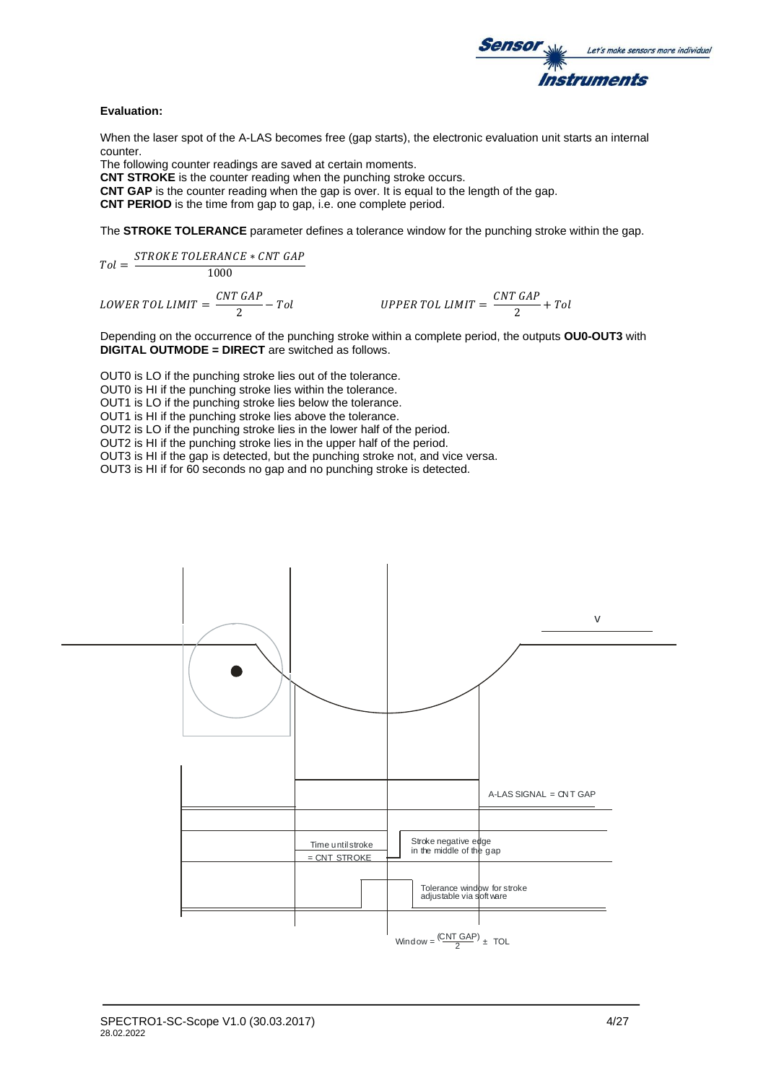

#### **Evaluation:**

When the laser spot of the A-LAS becomes free (gap starts), the electronic evaluation unit starts an internal counter.

The following counter readings are saved at certain moments.

**CNT STROKE** is the counter reading when the punching stroke occurs.

**CNT GAP** is the counter reading when the gap is over. It is equal to the length of the gap.

**CNT PERIOD** is the time from gap to gap, i.e. one complete period.

The **STROKE TOLERANCE** parameter defines a tolerance window for the punching stroke within the gap.

$$
Tol = \frac{STROKE\ TOLERANCE * CNT\ GAP}{1000}
$$

LOWER TOL LIMIT  $=\frac{CNT\;GAP}{2}$ 

$$
\frac{GAP}{2} - Tol
$$
 *UPPER TOL LIMIT* =  $\frac{CNT\ GAP}{2} + Tol$ 

Depending on the occurrence of the punching stroke within a complete period, the outputs **OU0-OUT3** with **DIGITAL OUTMODE = DIRECT** are switched as follows.

OUT0 is LO if the punching stroke lies out of the tolerance. OUT0 is HI if the punching stroke lies within the tolerance.

OUT1 is LO if the punching stroke lies below the tolerance.

OUT1 is HI if the punching stroke lies above the tolerance.

OUT2 is LO if the punching stroke lies in the lower half of the period.

OUT2 is HI if the punching stroke lies in the upper half of the period.

OUT3 is HI if the gap is detected, but the punching stroke not, and vice versa.

OUT3 is HI if for 60 seconds no gap and no punching stroke is detected.

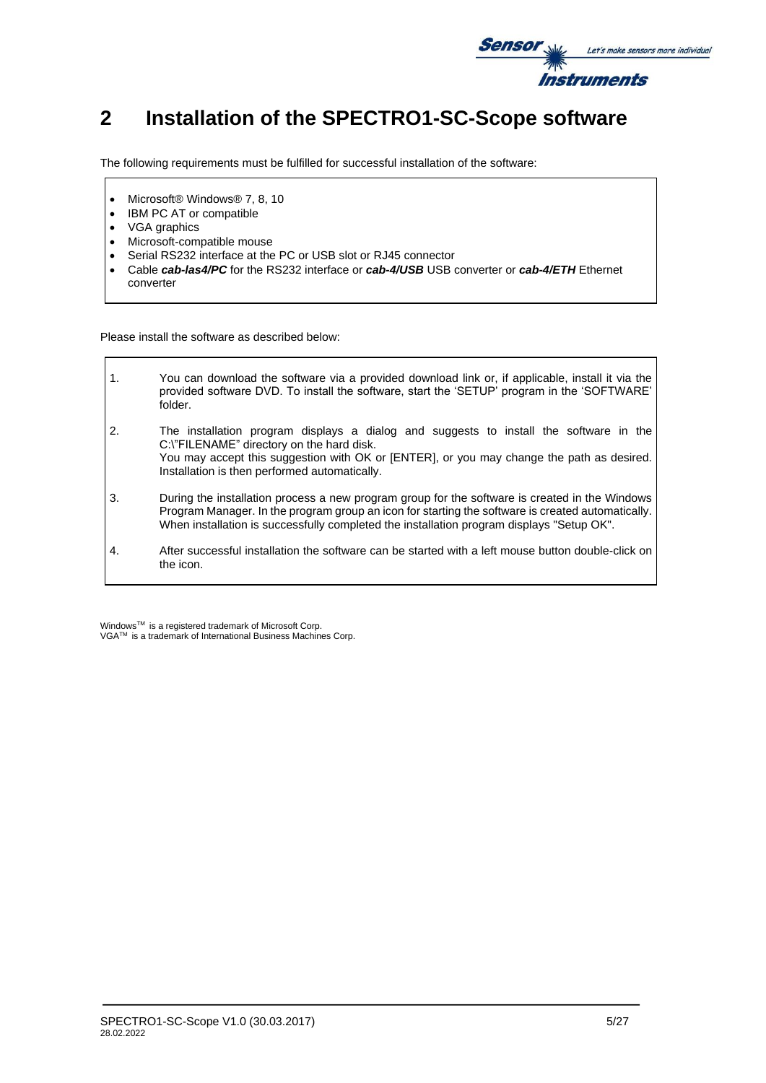

# **2 Installation of the SPECTRO1-SC-Scope software**

The following requirements must be fulfilled for successful installation of the software:

- Microsoft® Windows® 7, 8, 10
- IBM PC AT or compatible
- VGA graphics

 $\mathsf{r}$ 

- Microsoft-compatible mouse
- Serial RS232 interface at the PC or USB slot or RJ45 connector
- Cable *cab-las4/PC* for the RS232 interface or *cab-4/USB* USB converter or *cab-4/ETH* Ethernet converter

Please install the software as described below:

| $\mathbf{1}$ . | You can download the software via a provided download link or, if applicable, install it via the<br>provided software DVD. To install the software, start the 'SETUP' program in the 'SOFTWARE'<br>folder.                                                                                       |
|----------------|--------------------------------------------------------------------------------------------------------------------------------------------------------------------------------------------------------------------------------------------------------------------------------------------------|
| 2.             | The installation program displays a dialog and suggests to install the software in the<br>C:\"FILENAME" directory on the hard disk.<br>You may accept this suggestion with OK or [ENTER], or you may change the path as desired.<br>Installation is then performed automatically.                |
| 3.             | During the installation process a new program group for the software is created in the Windows<br>Program Manager. In the program group an icon for starting the software is created automatically.<br>When installation is successfully completed the installation program displays "Setup OK". |
| 4.             | After successful installation the software can be started with a left mouse button double-click on<br>the icon.                                                                                                                                                                                  |

WindowsTM is a registered trademark of Microsoft Corp. VGATM is a trademark of International Business Machines Corp.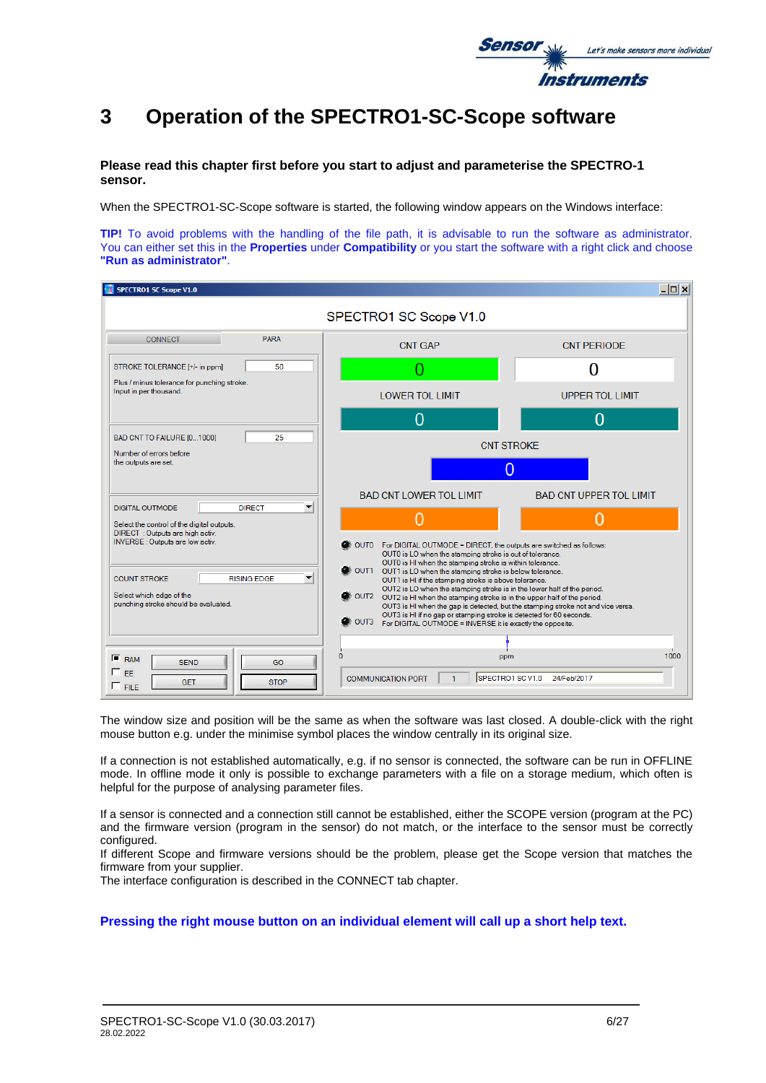

# **3 Operation of the SPECTRO1-SC-Scope software**

**Please read this chapter first before you start to adjust and parameterise the SPECTRO-1 sensor.**

When the SPECTRO1-SC-Scope software is started, the following window appears on the Windows interface:

**TIP!** To avoid problems with the handling of the file path, it is advisable to run the software as administrator. You can either set this in the **Properties** under **Compatibility** or you start the software with a right click and choose **"Run as administrator"**.

| <b>SPECTRO1 SC Scope V1.0</b>                                                                       |                                                                                                                                                                                                                                         | $ \Box$ $\times$               |  |
|-----------------------------------------------------------------------------------------------------|-----------------------------------------------------------------------------------------------------------------------------------------------------------------------------------------------------------------------------------------|--------------------------------|--|
|                                                                                                     | SPECTRO1 SC Scope V1.0                                                                                                                                                                                                                  |                                |  |
| <b>PARA</b><br><b>CONNECT</b>                                                                       | <b>CNT GAP</b>                                                                                                                                                                                                                          | <b>CNT PERIODE</b>             |  |
| 50<br>STROKE TOLERANCE [+/- in ppm]                                                                 |                                                                                                                                                                                                                                         | O                              |  |
| Plus / minus tolerance for punching stroke.<br>Input in per thousand.                               | <b>LOWER TOL LIMIT</b>                                                                                                                                                                                                                  | <b>UPPER TOL LIMIT</b>         |  |
|                                                                                                     | O                                                                                                                                                                                                                                       | 0                              |  |
| 25<br>BAD CNT TO FAILURE [01000]<br>Number of errors before                                         | <b>CNT STROKE</b>                                                                                                                                                                                                                       |                                |  |
| the outputs are set.                                                                                | 0                                                                                                                                                                                                                                       |                                |  |
| ▼<br><b>DIGITAL OUTMODE</b><br><b>DIRECT</b>                                                        | <b>BAD CNT LOWER TOL LIMIT</b>                                                                                                                                                                                                          | <b>BAD CNT UPPER TOL LIMIT</b> |  |
| Select the control of the digital outputs.<br>DIRECT: Outputs are high activ.                       | O                                                                                                                                                                                                                                       |                                |  |
| <b>INVERSE:</b> Outputs are low activ.                                                              | $\bullet$ OUTO<br>For DIGITAL OUTMODE = DIRECT, the outputs are switched as follows:<br>OUT0 is LO when the stamping stroke is out of tolerance.<br>OUT0 is HI when the stamping stroke is within tolerance.                            |                                |  |
| <b>COUNT STROKE</b><br><b>RISING EDGE</b><br>▼                                                      | OUT1 OUT1 is LO when the stamping stroke is below tolerance.<br>OUT1 is HI if the stamping stroke is above tolerance.<br>OUT2 is LO when the stamping stroke is in the lower half of the period.                                        |                                |  |
| Select which edge of the<br>punching stroke should be evaluated.                                    | OUT2 OUT2 is HI when the stamping stroke is in the upper half of the period.<br>OUT3 is HI when the gap is detected, but the stamping stroke not and vice versa.<br>OUT3 is HI if no gap or stamping stroke is detected for 60 seconds. |                                |  |
|                                                                                                     | $\bullet$ OUT3<br>For DIGITAL OUTMODE = INVERSE it is exactly the opposite.                                                                                                                                                             |                                |  |
|                                                                                                     |                                                                                                                                                                                                                                         |                                |  |
| $F$ <sub>RAM</sub><br><b>SEND</b><br>GO<br>$\Box$ FF.<br><b>GET</b><br><b>STOP</b><br>$\Gamma$ FILE | 0<br>ppm<br>SPECTRO1 SC V1.0<br><b>COMMUNICATION PORT</b><br>$\mathbf{1}$                                                                                                                                                               | 1000<br>24/Feb/2017            |  |

The window size and position will be the same as when the software was last closed. A double-click with the right mouse button e.g. under the minimise symbol places the window centrally in its original size.

If a connection is not established automatically, e.g. if no sensor is connected, the software can be run in OFFLINE mode. In offline mode it only is possible to exchange parameters with a file on a storage medium, which often is helpful for the purpose of analysing parameter files.

If a sensor is connected and a connection still cannot be established, either the SCOPE version (program at the PC) and the firmware version (program in the sensor) do not match, or the interface to the sensor must be correctly configured.

If different Scope and firmware versions should be the problem, please get the Scope version that matches the firmware from your supplier.

The interface configuration is described in the CONNECT tab chapter.

### **Pressing the right mouse button on an individual element will call up a short help text.**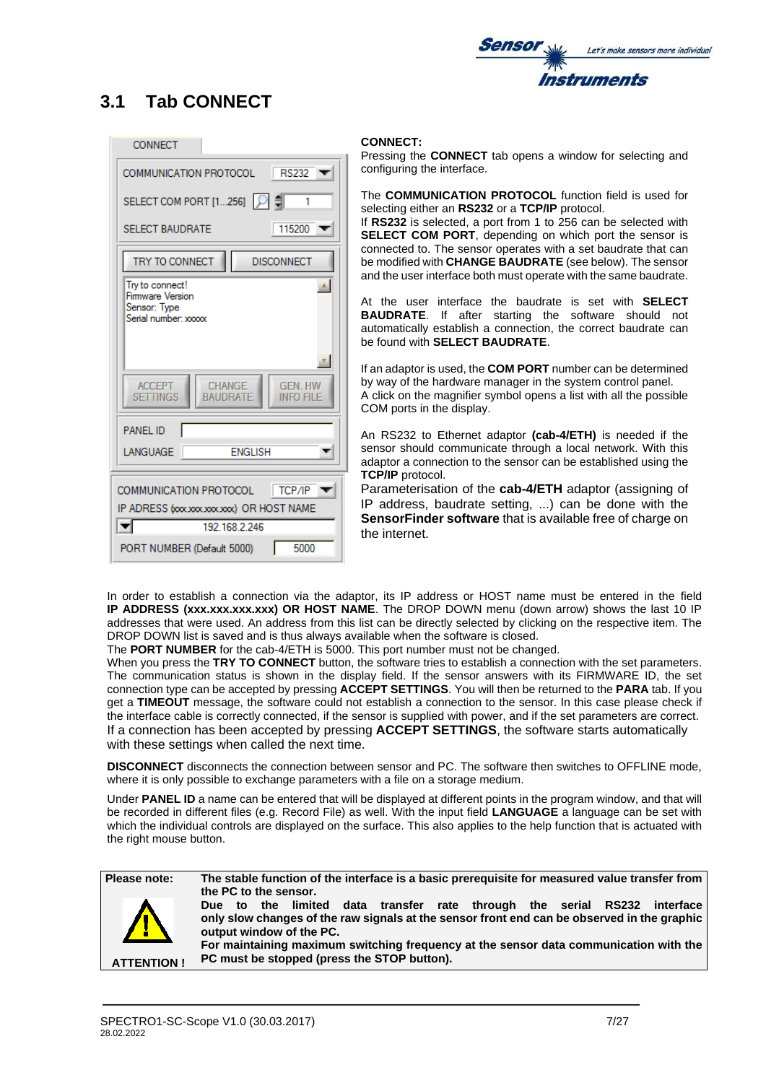

# **3.1 Tab CONNECT**

| <b>CONNECT</b>                                                                                    |
|---------------------------------------------------------------------------------------------------|
| COMMUNICATION PROTOCOL<br><b>RS232</b>                                                            |
| SELECT COM PORT [1256] [이 [<br>1                                                                  |
| 115200<br><b>SELECT BAUDRATE</b>                                                                  |
| TRY TO CONNECT<br><b>DISCONNECT</b>                                                               |
| Try to connect!<br>画<br>Firmware Version<br>Sensor: Type<br>Serial number: xxxxx                  |
| CHANGE<br><b>GEN. HW</b><br><b>ACCEPT</b><br><b>SETTINGS</b><br>BAUDRATE<br>info fii              |
| PANFI ID                                                                                          |
| <b>ENGLISH</b><br>LANGUAGE                                                                        |
| <b>COMMUNICATION PROTOCOL</b><br>TCP/IP<br>IP ADRESS (xxxxxxxxxxxx) OR HOST NAME<br>192 168 2 246 |
|                                                                                                   |

### **CONNECT:**

Pressing the **CONNECT** tab opens a window for selecting and configuring the interface.

The **COMMUNICATION PROTOCOL** function field is used for selecting either an **RS232** or a **TCP/IP** protocol.

If **RS232** is selected, a port from 1 to 256 can be selected with **SELECT COM PORT**, depending on which port the sensor is connected to. The sensor operates with a set baudrate that can be modified with **CHANGE BAUDRATE** (see below). The sensor and the user interface both must operate with the same baudrate.

At the user interface the baudrate is set with **SELECT BAUDRATE**. If after starting the software should not automatically establish a connection, the correct baudrate can be found with **SELECT BAUDRATE**.

If an adaptor is used, the **COM PORT** number can be determined by way of the hardware manager in the system control panel. A click on the magnifier symbol opens a list with all the possible COM ports in the display.

An RS232 to Ethernet adaptor **(cab-4/ETH)** is needed if the sensor should communicate through a local network. With this adaptor a connection to the sensor can be established using the **TCP/IP** protocol.

Parameterisation of the **cab-4/ETH** adaptor (assigning of IP address, baudrate setting, ...) can be done with the **SensorFinder software** that is available free of charge on the internet.

In order to establish a connection via the adaptor, its IP address or HOST name must be entered in the field **IP ADDRESS (xxx.xxx.xxx.xxx) OR HOST NAME**. The DROP DOWN menu (down arrow) shows the last 10 IP addresses that were used. An address from this list can be directly selected by clicking on the respective item. The DROP DOWN list is saved and is thus always available when the software is closed.

The **PORT NUMBER** for the cab-4/ETH is 5000. This port number must not be changed.

When you press the **TRY TO CONNECT** button, the software tries to establish a connection with the set parameters. The communication status is shown in the display field. If the sensor answers with its FIRMWARE ID, the set connection type can be accepted by pressing **ACCEPT SETTINGS**. You will then be returned to the **PARA** tab. If you get a **TIMEOUT** message, the software could not establish a connection to the sensor. In this case please check if the interface cable is correctly connected, if the sensor is supplied with power, and if the set parameters are correct. If a connection has been accepted by pressing **ACCEPT SETTINGS**, the software starts automatically with these settings when called the next time.

**DISCONNECT** disconnects the connection between sensor and PC. The software then switches to OFFLINE mode, where it is only possible to exchange parameters with a file on a storage medium.

Under **PANEL ID** a name can be entered that will be displayed at different points in the program window, and that will be recorded in different files (e.g. Record File) as well. With the input field **LANGUAGE** a language can be set with which the individual controls are displayed on the surface. This also applies to the help function that is actuated with the right mouse button.

**Please note: The stable function of the interface is a basic prerequisite for measured value transfer from the PC to the sensor. ATTENTION ! Due to the limited data transfer rate through the serial RS232 interface only slow changes of the raw signals at the sensor front end can be observed in the graphic output window of the PC. For maintaining maximum switching frequency at the sensor data communication with the PC must be stopped (press the STOP button).**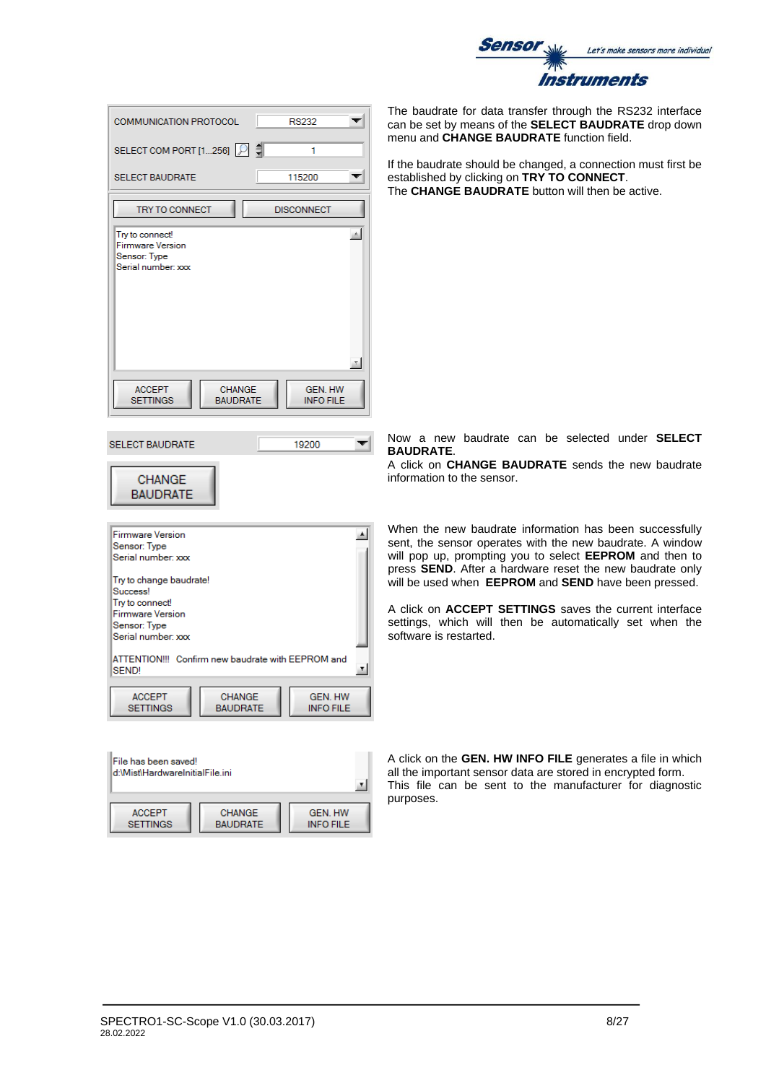

| COMMUNICATION PROTOCOL                                                    |                           | <b>RS232</b>                       |                  |
|---------------------------------------------------------------------------|---------------------------|------------------------------------|------------------|
| SELECT COM PORT [1256]                                                    |                           | 1                                  |                  |
| <b>SELECT BAUDRATE</b>                                                    |                           | 115200                             |                  |
| <b>TRY TO CONNECT</b>                                                     |                           | <b>DISCONNECT</b>                  |                  |
| Try to connect!<br>Firmware Version<br>Sensor: Type<br>Serial number: xxx |                           |                                    | $\mathbb{A}$     |
|                                                                           |                           |                                    | $\tau$           |
| <b>ACCEPT</b><br><b>SETTINGS</b>                                          | CHANGE<br><b>BAUDRATE</b> | <b>GEN. HW</b><br><b>INFO FILE</b> |                  |
| <b>SELECT BAUDRATE</b>                                                    |                           | 19200                              |                  |
| <b>CHANGE</b><br><b>BAUDRATE</b>                                          |                           |                                    |                  |
| <b>Firmware Version</b>                                                   |                           |                                    | $\blacktriangle$ |
| Sensor: Type<br>Serial number: xxx                                        |                           |                                    |                  |
| Try to change baudrate!<br>Success!                                       |                           |                                    |                  |
| Try to connect!                                                           |                           |                                    |                  |
| Firmware Version<br>Sensor: Type<br>Serial number: xxx                    |                           |                                    |                  |
| ATTENTION!!! Confirm new baudrate with EEPROM and<br>SEND!                |                           |                                    | 회                |
| <b>ACCEPT</b>                                                             | <b>CHANGE</b>             | GEN. HW                            |                  |

d:\Mist\HardwareInitialFile.ini  $\mathbf{r}$ **ACCEPT** CHANGE **GEN. HW BAUDRATE INFO FILE SETTINGS** 

The baudrate for data transfer through the RS232 interface can be set by means of the **SELECT BAUDRATE** drop down menu and **CHANGE BAUDRATE** function field.

the baudrate should be changed, a connection must first be established by clicking on **TRY TO CONNECT**. The **CHANGE BAUDRATE** button will then be active.

Now a new baudrate can be selected under **SELECT BAUDRATE**.

A click on **CHANGE BAUDRATE** sends the new baudrate nformation to the sensor.

When the new baudrate information has been successfully sent, the sensor operates with the new baudrate. A window will pop up, prompting you to select **EEPROM** and then to press **SEND**. After a hardware reset the new baudrate only will be used when **EEPROM** and **SEND** have been pressed.

A click on **ACCEPT SETTINGS** saves the current interface settings, which will then be automatically set when the software is restarted.

A click on the **GEN. HW INFO FILE** generates a file in which all the important sensor data are stored in encrypted form. This file can be sent to the manufacturer for diagnostic purposes.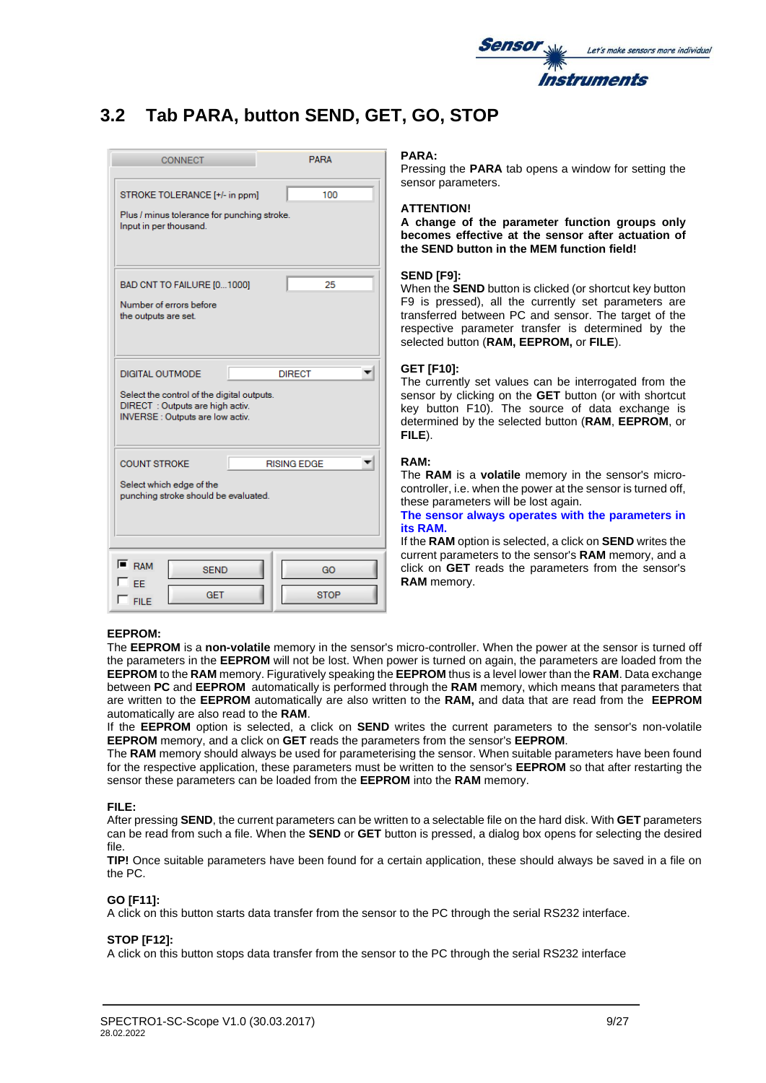

# **3.2 Tab PARA, button SEND, GET, GO, STOP**

| <b>CONNECT</b>                                                                                                                             | PARA              |  |  |  |
|--------------------------------------------------------------------------------------------------------------------------------------------|-------------------|--|--|--|
| STROKE TOLERANCE [+/- in ppm]<br>Plus / minus tolerance for punching stroke.<br>Input in per thousand.                                     | 100               |  |  |  |
| BAD CNT TO FAILURE [01000]<br>Number of errors before<br>the outputs are set.                                                              | 25                |  |  |  |
| DIGITAL OUTMODE<br>Select the control of the digital outputs.<br>DIRECT: Outputs are high activ.<br><b>INVERSE:</b> Outputs are low activ. | <b>DIRECT</b>     |  |  |  |
| <b>RISING EDGE</b><br><b>COUNT STROKE</b><br>Select which edge of the<br>punching stroke should be evaluated.                              |                   |  |  |  |
| $F$ RAM<br><b>SEND</b><br>FF<br><b>GET</b><br>$F \nF$                                                                                      | GO<br><b>STOP</b> |  |  |  |

#### **PARA:**

Pressing the **PARA** tab opens a window for setting the sensor parameters.

#### **ATTENTION!**

**A change of the parameter function groups only becomes effective at the sensor after actuation of the SEND button in the MEM function field!**

### **SEND [F9]:**

When the **SEND** button is clicked (or shortcut key button F9 is pressed), all the currently set parameters are transferred between PC and sensor. The target of the respective parameter transfer is determined by the selected button (**RAM, EEPROM,** or **FILE**).

#### **GET [F10]:**

The currently set values can be interrogated from the sensor by clicking on the **GET** button (or with shortcut key button F10). The source of data exchange is determined by the selected button (**RAM**, **EEPROM**, or **FILE**).

#### **RAM:**

The **RAM** is a **volatile** memory in the sensor's microcontroller, i.e. when the power at the sensor is turned off, these parameters will be lost again.

#### **The sensor always operates with the parameters in its RAM.**

If the **RAM** option is selected, a click on **SEND** writes the current parameters to the sensor's **RAM** memory, and a click on **GET** reads the parameters from the sensor's **RAM** memory.

#### **EEPROM:**

The **EEPROM** is a **non-volatile** memory in the sensor's micro-controller. When the power at the sensor is turned off the parameters in the **EEPROM** will not be lost. When power is turned on again, the parameters are loaded from the **EEPROM** to the **RAM** memory. Figuratively speaking the **EEPROM** thus is a level lower than the **RAM**. Data exchange between **PC** and **EEPROM** automatically is performed through the **RAM** memory, which means that parameters that are written to the **EEPROM** automatically are also written to the **RAM,** and data that are read from the **EEPROM** automatically are also read to the **RAM**.

If the **EEPROM** option is selected, a click on **SEND** writes the current parameters to the sensor's non-volatile **EEPROM** memory, and a click on **GET** reads the parameters from the sensor's **EEPROM**.

The **RAM** memory should always be used for parameterising the sensor. When suitable parameters have been found for the respective application, these parameters must be written to the sensor's **EEPROM** so that after restarting the sensor these parameters can be loaded from the **EEPROM** into the **RAM** memory.

#### **FILE:**

After pressing **SEND**, the current parameters can be written to a selectable file on the hard disk. With **GET** parameters can be read from such a file. When the **SEND** or **GET** button is pressed, a dialog box opens for selecting the desired file.

**TIP!** Once suitable parameters have been found for a certain application, these should always be saved in a file on the PC.

#### **GO [F11]:**

A click on this button starts data transfer from the sensor to the PC through the serial RS232 interface.

#### **STOP [F12]:**

A click on this button stops data transfer from the sensor to the PC through the serial RS232 interface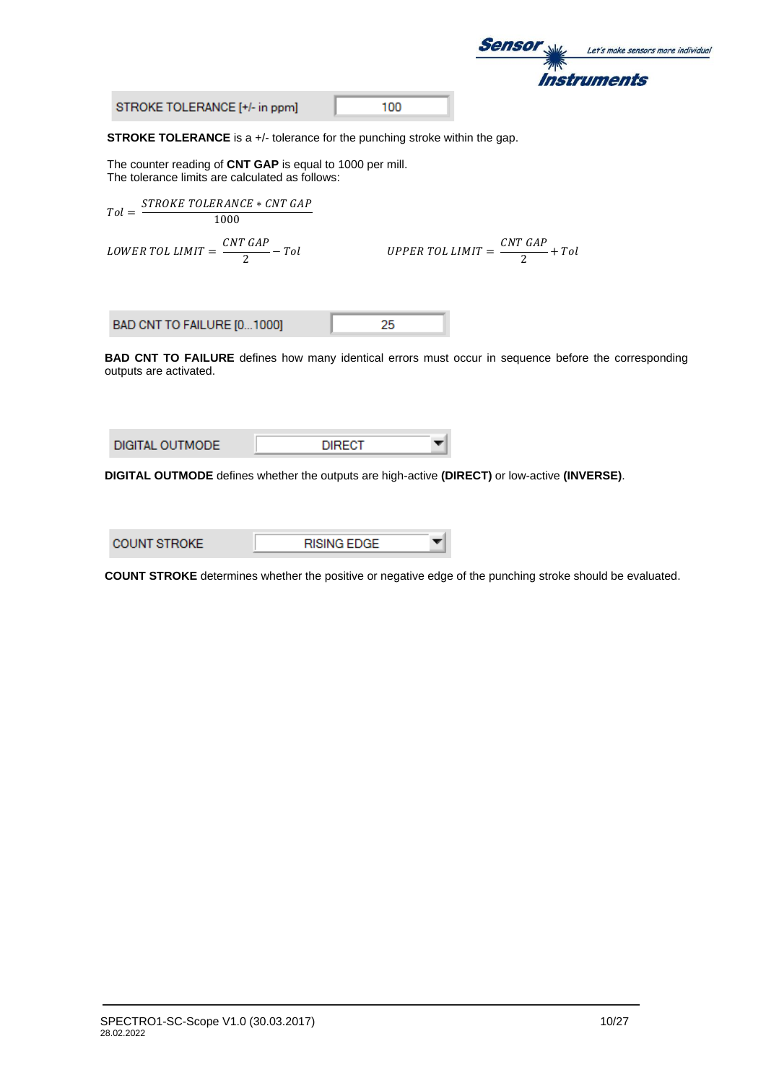

STROKE TOLERANCE [+/- in ppm]

100

**STROKE TOLERANCE** is a +/- tolerance for the punching stroke within the gap.

The counter reading of **CNT GAP** is equal to 1000 per mill. The tolerance limits are calculated as follows:

$$
Tol = \frac{STROKE\ TOLERANCE * CNT\ GAP}{1000}
$$
  
\n
$$
LOWER\ TOL\ LIMIT = \frac{CNT\ GAP}{2} - Tol
$$
  
\n
$$
UPPER\ TOL\ LIMIT = \frac{CNT\ GAP}{2} + Tol
$$
  
\nBAD CNT TO FAILURE [0...1000]  
\n25  
\nBAD CNT TO FAILURE defines how many identical errors must occur in sequence before the corresponding outputs are activated.

| DIGITAL OUTMODE | <b>DIRECT</b> |  |
|-----------------|---------------|--|
|                 |               |  |

**DIGITAL OUTMODE** defines whether the outputs are high-active **(DIRECT)** or low-active **(INVERSE)**.

| <b>COUNT STROKE</b> | <b>RISING EDGE</b> |  |
|---------------------|--------------------|--|
|                     |                    |  |

**COUNT STROKE** determines whether the positive or negative edge of the punching stroke should be evaluated.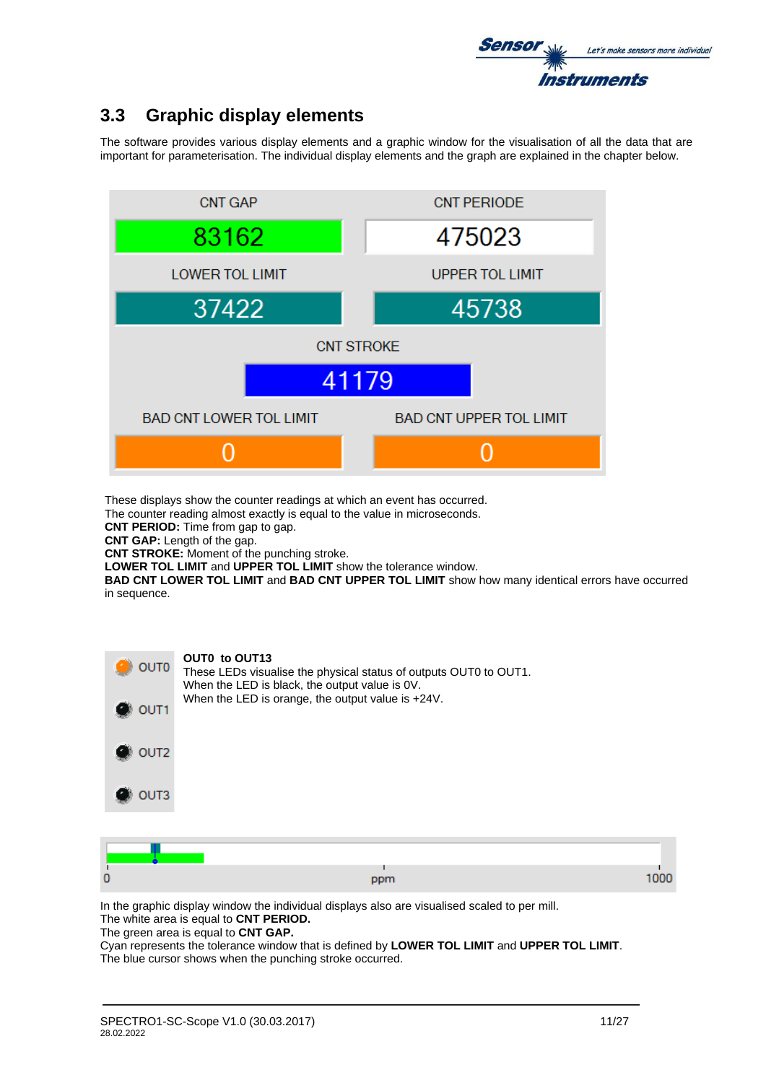

# **3.3 Graphic display elements**

The software provides various display elements and a graphic window for the visualisation of all the data that are important for parameterisation. The individual display elements and the graph are explained in the chapter below.



These displays show the counter readings at which an event has occurred.

The counter reading almost exactly is equal to the value in microseconds.

**CNT PERIOD:** Time from gap to gap.

**CNT GAP:** Length of the gap.

**CNT STROKE:** Moment of the punching stroke.

**LOWER TOL LIMIT** and **UPPER TOL LIMIT** show the tolerance window.

**BAD CNT LOWER TOL LIMIT** and **BAD CNT UPPER TOL LIMIT** show how many identical errors have occurred in sequence.



| . <b>.</b> |  |
|------------|--|

In the graphic display window the individual displays also are visualised scaled to per mill. The white area is equal to **CNT PERIOD.**

The green area is equal to **CNT GAP.**

Cyan represents the tolerance window that is defined by **LOWER TOL LIMIT** and **UPPER TOL LIMIT**. The blue cursor shows when the punching stroke occurred.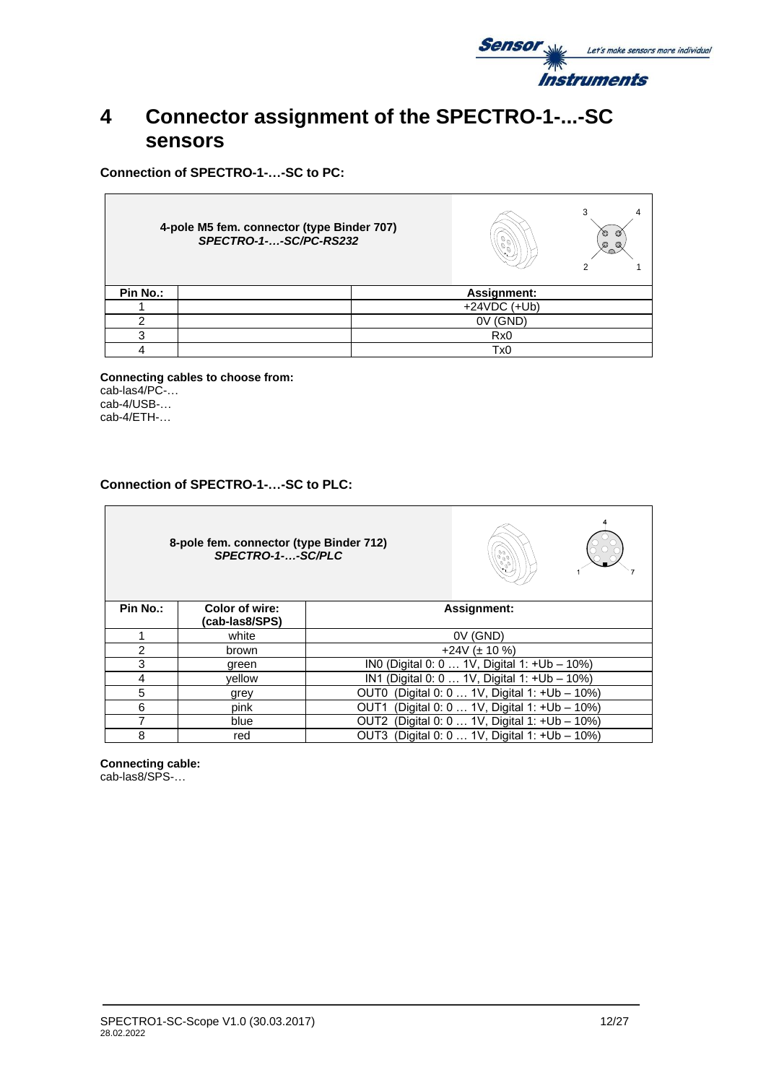

# **4 Connector assignment of the SPECTRO-1-...-SC sensors**

**Connection of SPECTRO-1-…-SC to PC:**

 $\blacksquare$ 

|          | 4-pole M5 fem. connector (type Binder 707)<br>SPECTRO-1--SC/PC-RS232 |                 | Ó<br>Ø<br>Ø<br>Q |
|----------|----------------------------------------------------------------------|-----------------|------------------|
| Pin No.: |                                                                      | Assignment:     |                  |
|          |                                                                      | $+24VDC (+Ub)$  |                  |
|          |                                                                      | (GND)<br>0V     |                  |
|          |                                                                      | Rx <sub>0</sub> |                  |
|          |                                                                      | Tx <sub>0</sub> |                  |

**Connecting cables to choose from:** cab-las4/PC-… cab-4/USB-... cab-4/ETH-…

### **Connection of SPECTRO-1-…-SC to PLC:**

|               | 8-pole fem. connector (type Binder 712)<br>SPECTRO-1--SC/PLC | $\begin{pmatrix} \circ & \circ \\ \circ & \circ \\ \circ & \circ \end{pmatrix}$ |                                              |  |
|---------------|--------------------------------------------------------------|---------------------------------------------------------------------------------|----------------------------------------------|--|
| Pin No.:      | Color of wire:<br>(cab-las8/SPS)                             |                                                                                 | <b>Assignment:</b>                           |  |
|               | white                                                        |                                                                                 | 0V (GND)                                     |  |
| $\mathcal{P}$ | brown                                                        |                                                                                 | $+24V$ ( $\pm$ 10 %)                         |  |
| 3             | green                                                        |                                                                                 | INO (Digital 0: 0  1V, Digital 1: +Ub - 10%) |  |
| 4             | vellow                                                       | IN1                                                                             | (Digital 0: 0  1V, Digital 1: +Ub - 10%)     |  |
| 5             | grey                                                         | OUT0                                                                            | (Digital 0: 0  1V, Digital 1: +Ub - 10%)     |  |
| 6             | pink                                                         | OUT1                                                                            | (Digital 0: 0  1V, Digital 1: +Ub - 10%)     |  |
| 7             | blue                                                         | OUT2                                                                            | (Digital 0: 0  1V, Digital 1: +Ub - 10%)     |  |
| 8             | red                                                          | OUT3                                                                            | (Digital 0: 0  1V, Digital 1: +Ub - 10%)     |  |

**Connecting cable:**

cab-las8/SPS-…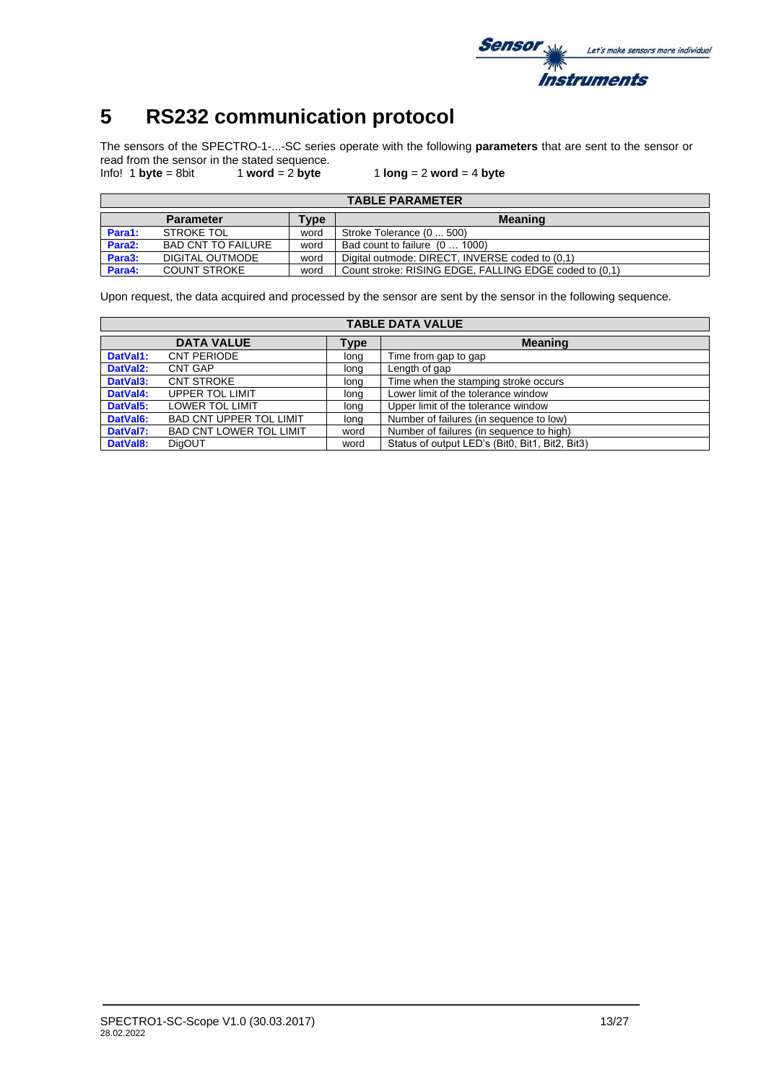

# **5 RS232 communication protocol**

The sensors of the SPECTRO-1-...-SC series operate with the following **parameters** that are sent to the sensor or read from the sensor in the stated sequence.

Info! 1 **byte** = 8bit 1 **word** = 2 **byte** 1 **long** = 2 **word** = 4 **byte**

|                     | <b>TABLE PARAMETER</b>                     |      |                                                        |  |  |  |  |  |  |  |  |
|---------------------|--------------------------------------------|------|--------------------------------------------------------|--|--|--|--|--|--|--|--|
|                     | <b>Meaning</b><br><b>Parameter</b><br>Type |      |                                                        |  |  |  |  |  |  |  |  |
| Para1:              | <b>STROKE TOL</b>                          | word | Stroke Tolerance (0  500)                              |  |  |  |  |  |  |  |  |
| Para <sub>2</sub> : | <b>BAD CNT TO FAILURE</b>                  | word | Bad count to failure (0  1000)                         |  |  |  |  |  |  |  |  |
| Para3:              | DIGITAL OUTMODE                            | word | Digital outmode: DIRECT, INVERSE coded to (0.1)        |  |  |  |  |  |  |  |  |
| Para4:              | <b>COUNT STROKE</b>                        | word | Count stroke: RISING EDGE, FALLING EDGE coded to (0.1) |  |  |  |  |  |  |  |  |

Upon request, the data acquired and processed by the sensor are sent by the sensor in the following sequence.

|                       |                                |      | <b>TABLE DATA VALUE</b>                         |
|-----------------------|--------------------------------|------|-------------------------------------------------|
|                       | <b>DATA VALUE</b>              | Type | <b>Meaning</b>                                  |
| DatVal1:              | <b>CNT PERIODE</b>             | long | Time from gap to gap                            |
| DatVal <sub>2</sub> : | <b>CNT GAP</b>                 | long | Length of gap                                   |
| DatVal3:              | <b>CNT STROKE</b>              | long | Time when the stamping stroke occurs            |
| DatVal4:              | UPPER TOL LIMIT                | long | Lower limit of the tolerance window             |
| DatVal5:              | <b>LOWER TOL LIMIT</b>         | long | Upper limit of the tolerance window             |
| DatVal6:              | <b>BAD CNT UPPER TOL LIMIT</b> | long | Number of failures (in sequence to low)         |
| DatVal7:              | <b>BAD CNT LOWER TOL LIMIT</b> | word | Number of failures (in sequence to high)        |
| DatVal8:              | <b>DigOUT</b>                  | word | Status of output LED's (Bit0, Bit1, Bit2, Bit3) |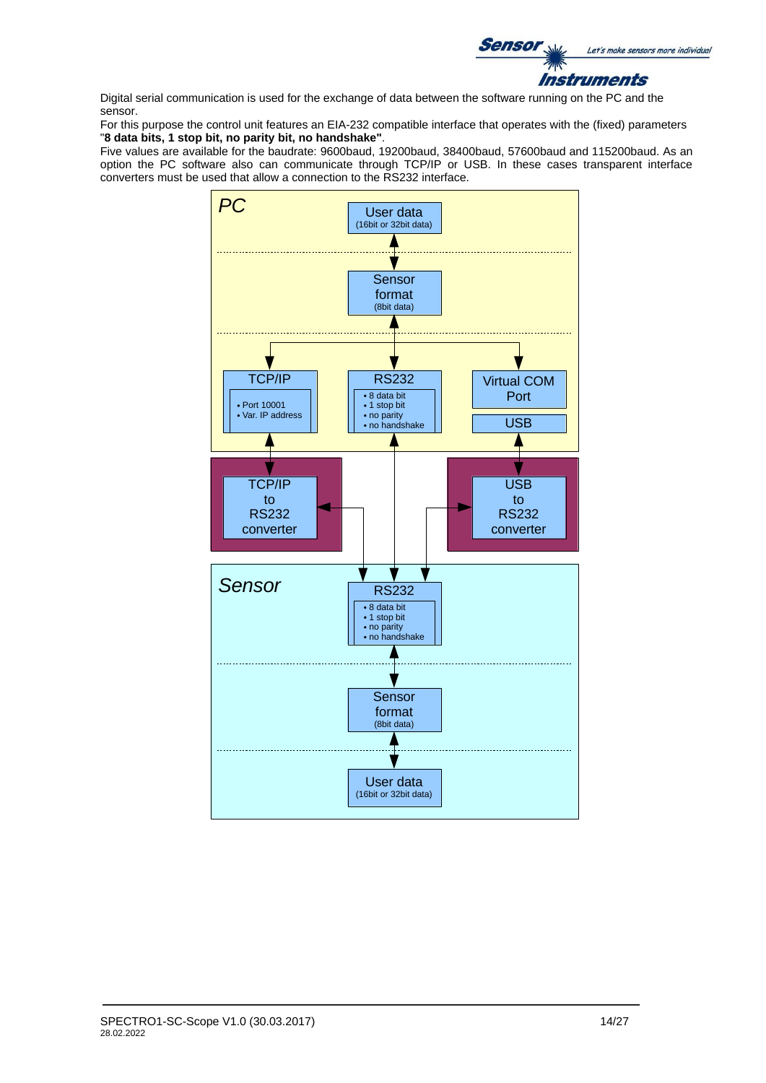

Digital serial communication is used for the exchange of data between the software running on the PC and the sensor.

For this purpose the control unit features an EIA-232 compatible interface that operates with the (fixed) parameters "**8 data bits, 1 stop bit, no parity bit, no handshake"**.

Five values are available for the baudrate: 9600baud, 19200baud, 38400baud, 57600baud and 115200baud. As an option the PC software also can communicate through TCP/IP or USB. In these cases transparent interface converters must be used that allow a connection to the RS232 interface.

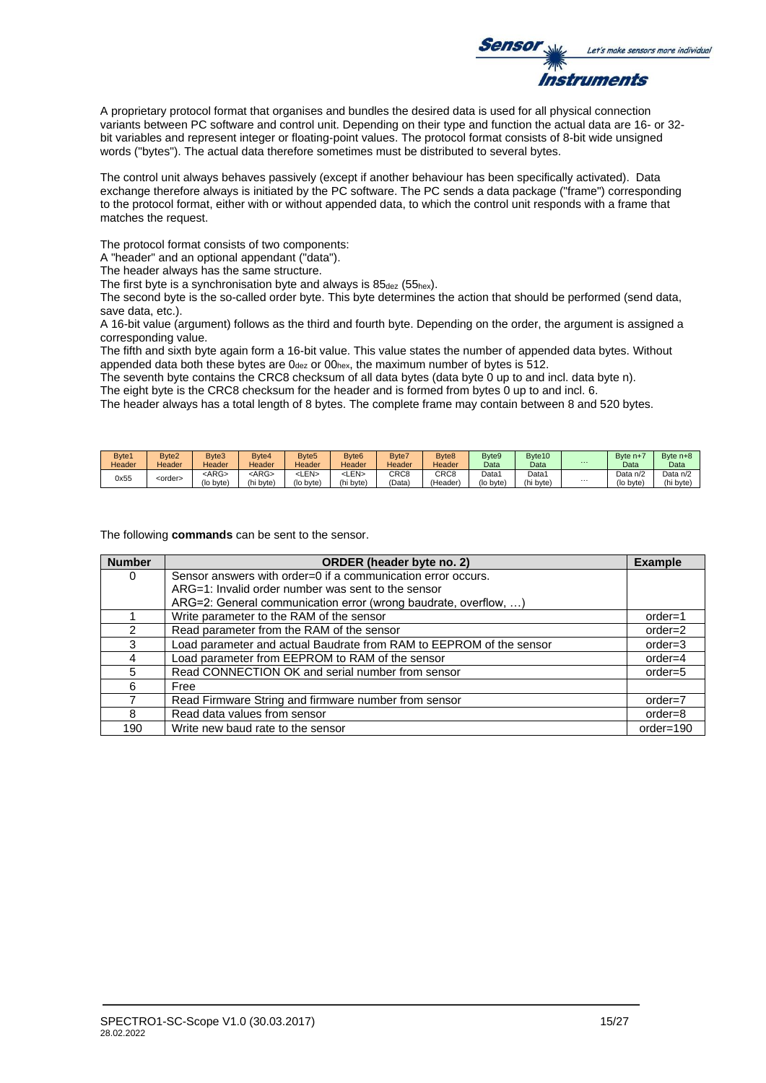

A proprietary protocol format that organises and bundles the desired data is used for all physical connection variants between PC software and control unit. Depending on their type and function the actual data are 16- or 32 bit variables and represent integer or floating-point values. The protocol format consists of 8-bit wide unsigned words ("bytes"). The actual data therefore sometimes must be distributed to several bytes.

The control unit always behaves passively (except if another behaviour has been specifically activated). Data exchange therefore always is initiated by the PC software. The PC sends a data package ("frame") corresponding to the protocol format, either with or without appended data, to which the control unit responds with a frame that matches the request.

The protocol format consists of two components:

A "header" and an optional appendant ("data").

The header always has the same structure.

The first byte is a synchronisation byte and always is  $85_{\text{dez}}$  (55<sub>hex</sub>).

The second byte is the so-called order byte. This byte determines the action that should be performed (send data, save data, etc.).

A 16-bit value (argument) follows as the third and fourth byte. Depending on the order, the argument is assigned a corresponding value.

The fifth and sixth byte again form a 16-bit value. This value states the number of appended data bytes. Without appended data both these bytes are  $0_{\text{dez}}$  or  $00_{\text{hex}}$ , the maximum number of bytes is 512.

The seventh byte contains the CRC8 checksum of all data bytes (data byte 0 up to and incl. data byte n).

The eight byte is the CRC8 checksum for the header and is formed from bytes 0 up to and incl. 6.

The header always has a total length of 8 bytes. The complete frame may contain between 8 and 520 bytes.

| Byte1  | Byte2           | Byte3       | Byte4       | Byte <sub>5</sub> | Byte <sub>6</sub> | Byte7            | Byte <sub>8</sub> | Byte9             | Byte <sub>10</sub> |          | Byte n+    | Byte n+8  |
|--------|-----------------|-------------|-------------|-------------------|-------------------|------------------|-------------------|-------------------|--------------------|----------|------------|-----------|
| Header | Header          | Header      | Header      | Header            | Header            | Header           | Header            | Data              | Data               | $\cdots$ | Data       | Data      |
| 0x55   |                 | <arg></arg> | <arg></arg> | <len></len>       | <len></len>       | CRC <sub>8</sub> | CRC8              | Data <sup>®</sup> | Data <sup>-</sup>  |          | Data $n/2$ | Data n/2  |
|        | <order></order> | (lo byte)   | (hi byte)   | (lo byte)         | (hi byte)         | 'Data            | (Header)          | (lo byte)         | (hi byte)          | $\cdots$ | (lo byte)  | (hi byte) |

The following **commands** can be sent to the sensor.

| <b>Number</b> | ORDER (header byte no. 2)                                           | <b>Example</b> |
|---------------|---------------------------------------------------------------------|----------------|
| 0             | Sensor answers with order=0 if a communication error occurs.        |                |
|               | ARG=1: Invalid order number was sent to the sensor                  |                |
|               | ARG=2: General communication error (wrong baudrate, overflow, )     |                |
|               | Write parameter to the RAM of the sensor                            | $order = 1$    |
| 2             | Read parameter from the RAM of the sensor                           | $order = 2$    |
| 3             | Load parameter and actual Baudrate from RAM to EEPROM of the sensor | $order = 3$    |
|               | Load parameter from EEPROM to RAM of the sensor                     | $order=4$      |
| 5             | Read CONNECTION OK and serial number from sensor                    | $order = 5$    |
| 6             | Free                                                                |                |
|               | Read Firmware String and firmware number from sensor                | $order=7$      |
| 8             | Read data values from sensor                                        | $order = 8$    |
| 190           | Write new baud rate to the sensor                                   | $order = 190$  |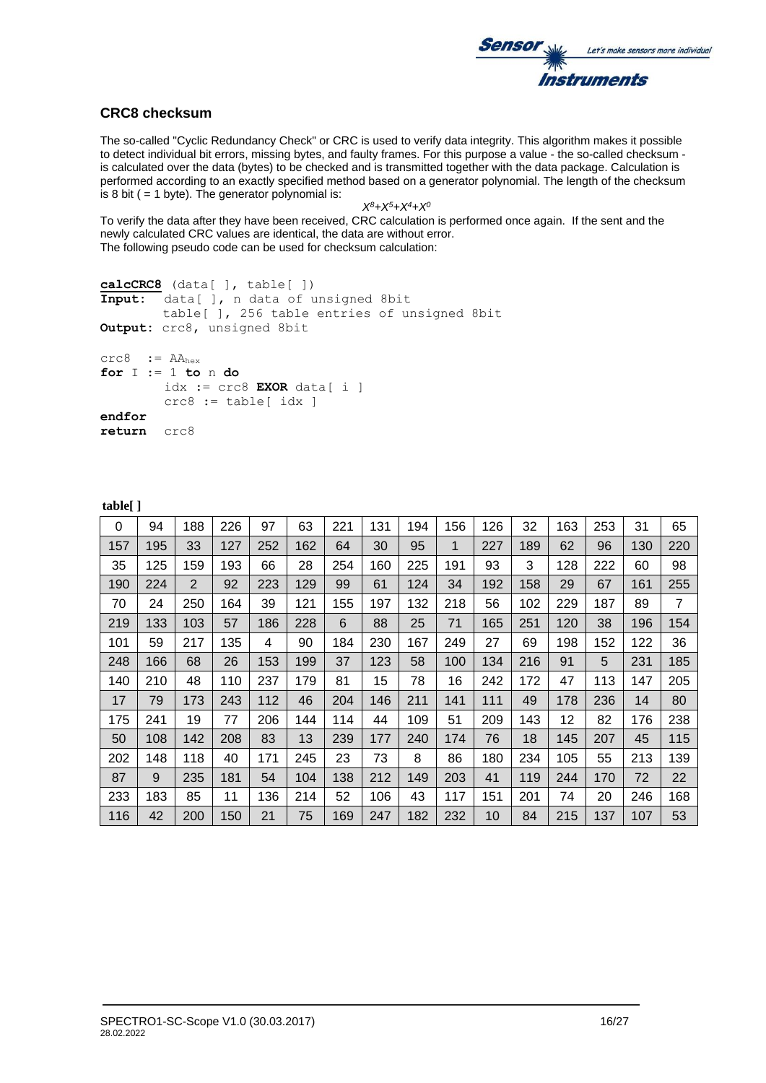

### **CRC8 checksum**

The so-called "Cyclic Redundancy Check" or CRC is used to verify data integrity. This algorithm makes it possible to detect individual bit errors, missing bytes, and faulty frames. For this purpose a value - the so-called checksum is calculated over the data (bytes) to be checked and is transmitted together with the data package. Calculation is performed according to an exactly specified method based on a generator polynomial. The length of the checksum is 8 bit ( $= 1$  byte). The generator polynomial is:

```
X8+X5+X4+X0
```
To verify the data after they have been received, CRC calculation is performed once again. If the sent and the newly calculated CRC values are identical, the data are without error. The following pseudo code can be used for checksum calculation:

```
calcCRC8 (data[ ], table[ ])
Input: data[ ], n data of unsigned 8bit
         table[ ], 256 table entries of unsigned 8bit
Output: crc8, unsigned 8bit
\text{crc8} := \text{AA}_{\text{hex}}for I := 1 to n do
         idx := crc8 EXOR data[ i ]
         crc8 := table[idx]endfor
```
**return** crc8

**table[ ]**

| 0   | 94  | 188            | 226 | 97  | 63  | 221 | 131 | 194 | 156 | 126 | 32  | 163 | 253 | 31  | 65  |
|-----|-----|----------------|-----|-----|-----|-----|-----|-----|-----|-----|-----|-----|-----|-----|-----|
| 157 | 195 | 33             | 127 | 252 | 162 | 64  | 30  | 95  | 1   | 227 | 189 | 62  | 96  | 130 | 220 |
| 35  | 125 | 159            | 193 | 66  | 28  | 254 | 160 | 225 | 191 | 93  | 3   | 128 | 222 | 60  | 98  |
| 190 | 224 | $\overline{2}$ | 92  | 223 | 129 | 99  | 61  | 124 | 34  | 192 | 158 | 29  | 67  | 161 | 255 |
| 70  | 24  | 250            | 164 | 39  | 121 | 155 | 197 | 132 | 218 | 56  | 102 | 229 | 187 | 89  | 7   |
| 219 | 133 | 103            | 57  | 186 | 228 | 6   | 88  | 25  | 71  | 165 | 251 | 120 | 38  | 196 | 154 |
| 101 | 59  | 217            | 135 | 4   | 90  | 184 | 230 | 167 | 249 | 27  | 69  | 198 | 152 | 122 | 36  |
| 248 | 166 | 68             | 26  | 153 | 199 | 37  | 123 | 58  | 100 | 134 | 216 | 91  | 5   | 231 | 185 |
| 140 | 210 | 48             | 110 | 237 | 179 | 81  | 15  | 78  | 16  | 242 | 172 | 47  | 113 | 147 | 205 |
| 17  | 79  | 173            | 243 | 112 | 46  | 204 | 146 | 211 | 141 | 111 | 49  | 178 | 236 | 14  | 80  |
| 175 | 241 | 19             | 77  | 206 | 144 | 114 | 44  | 109 | 51  | 209 | 143 | 12  | 82  | 176 | 238 |
| 50  | 108 | 142            | 208 | 83  | 13  | 239 | 177 | 240 | 174 | 76  | 18  | 145 | 207 | 45  | 115 |
| 202 | 148 | 118            | 40  | 171 | 245 | 23  | 73  | 8   | 86  | 180 | 234 | 105 | 55  | 213 | 139 |
| 87  | 9   | 235            | 181 | 54  | 104 | 138 | 212 | 149 | 203 | 41  | 119 | 244 | 170 | 72  | 22  |
| 233 | 183 | 85             | 11  | 136 | 214 | 52  | 106 | 43  | 117 | 151 | 201 | 74  | 20  | 246 | 168 |
| 116 | 42  | 200            | 150 | 21  | 75  | 169 | 247 | 182 | 232 | 10  | 84  | 215 | 137 | 107 | 53  |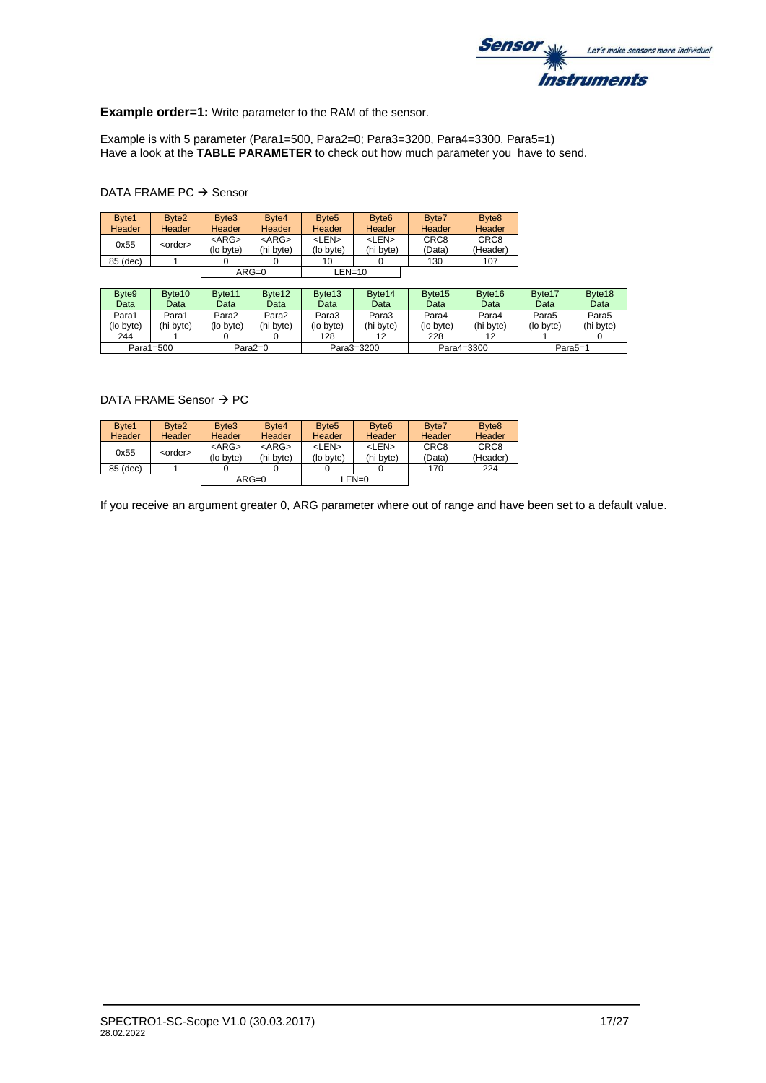

### **Example order=1:** Write parameter to the RAM of the sensor.

Example is with 5 parameter (Para1=500, Para2=0; Para3=3200, Para4=3300, Para5=1) Have a look at the **TABLE PARAMETER** to check out how much parameter you have to send.

### DATA FRAME PC → Sensor

| Byte1<br>Header | Byte <sub>2</sub><br>Header | Byte3<br>Header          | Byte4<br><b>Header</b>   | Byte <sub>5</sub><br><b>Header</b> | Byte <sub>6</sub><br><b>Header</b> | Byte7<br>Header            | Byte <sub>8</sub><br>Header  |
|-----------------|-----------------------------|--------------------------|--------------------------|------------------------------------|------------------------------------|----------------------------|------------------------------|
| 0x55            | <order></order>             | $<$ ARG $>$<br>(lo byte) | $<$ ARG $>$<br>(hi byte) | <len><br/>(lo byte)</len>          | <len><br/>(hi byte)</len>          | CRC <sub>8</sub><br>(Data) | CRC <sub>8</sub><br>(Header) |
| 85 (dec)        |                             |                          |                          | 10                                 |                                    | 130                        | 107                          |
|                 |                             |                          | $ARG=0$                  | $LEN=10$                           |                                    |                            |                              |

| Byte9     | Byte <sub>10</sub> | Byte <sub>11</sub> | Byte12    | Byte <sub>13</sub> | Byte <sub>14</sub> | Byte <sub>15</sub> | Byte16     | Byte17              | Byte18            |
|-----------|--------------------|--------------------|-----------|--------------------|--------------------|--------------------|------------|---------------------|-------------------|
| Data      | Data               | Data               | Data      | Data               | Data               | Data               | Data       | Data                | Data              |
| Para1     | Para1              | Para2              | Para2     | Para3              | Para3              | Para4              | Para4      | Para5               | Para <sub>5</sub> |
| (lo byte) | (hi byte)          | (lo byte)          | (hi byte) | (lo byte)          | (hi byte)          | (lo byte)          | (hi byte)  | (lo byte)           | (hi byte)         |
| 244       |                    |                    |           | 128                | 12                 | 228                | 12         |                     |                   |
| Para1=500 |                    |                    | $Para2=0$ |                    | Para3=3200         |                    | Para4=3300 | Para <sub>5=1</sub> |                   |

### DATA FRAME Sensor → PC

| Byte1<br><b>Header</b> | Byte <sub>2</sub><br><b>Header</b> | Byte3<br>Header          | Byte <sub>4</sub><br><b>Header</b> | Byte <sub>5</sub><br>Header | Byte <sub>6</sub><br><b>Header</b> | Byte7<br>Header            | Byte <sub>8</sub><br>Header  |
|------------------------|------------------------------------|--------------------------|------------------------------------|-----------------------------|------------------------------------|----------------------------|------------------------------|
| 0x55                   | <order></order>                    | $<$ ARG $>$<br>(lo byte) | $<$ ARG $>$<br>(hi byte)           | <len><br/>(lo byte)</len>   | <len><br/>(hi byte)</len>          | CRC <sub>8</sub><br>(Data) | CRC <sub>8</sub><br>(Header) |
| 85 (dec)               |                                    |                          |                                    |                             |                                    | 170                        | 224                          |
|                        |                                    |                          | $ARG=0$                            |                             | $LEN=0$                            |                            |                              |

If you receive an argument greater 0, ARG parameter where out of range and have been set to a default value.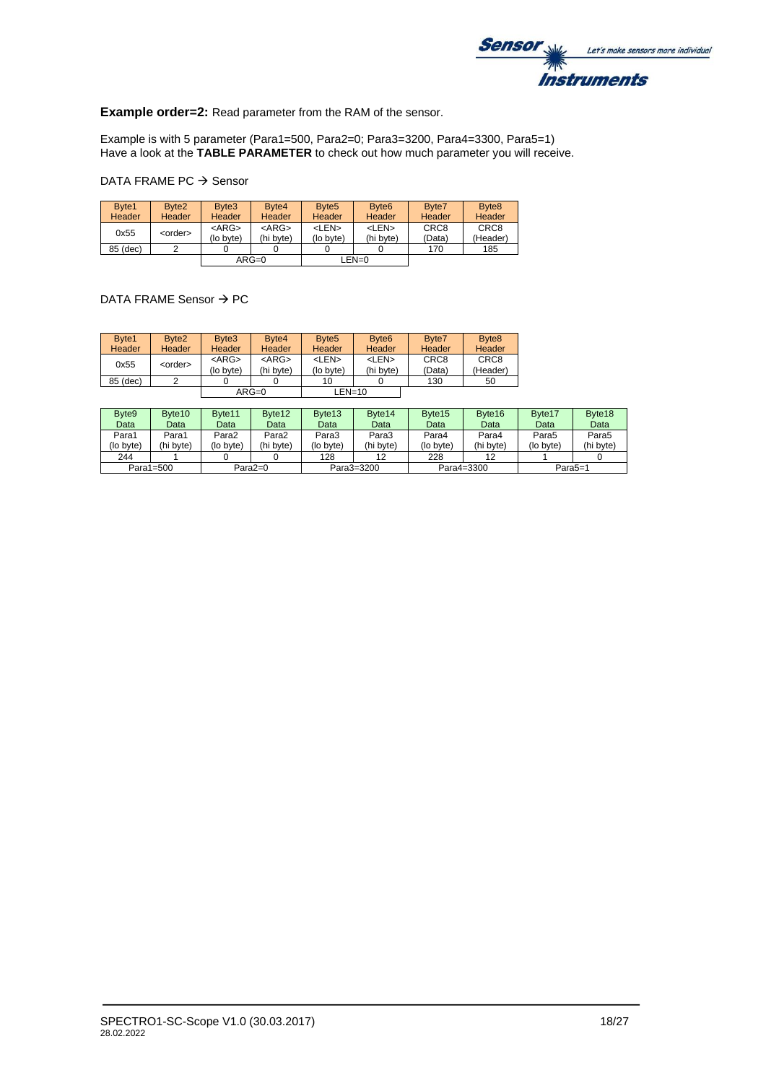

**Example order=2:** Read parameter from the RAM of the sensor.

Example is with 5 parameter (Para1=500, Para2=0; Para3=3200, Para4=3300, Para5=1) Have a look at the **TABLE PARAMETER** to check out how much parameter you will receive.

### DATA FRAME PC → Sensor

| Byte1<br><b>Header</b> | Byte <sub>2</sub><br>Header | Byte3<br>Header          | Byte <sub>4</sub><br>Header | Byte <sub>5</sub><br>Header | Byte <sub>6</sub><br><b>Header</b> | Byte7<br>Header            | Byte <sub>8</sub><br><b>Header</b> |
|------------------------|-----------------------------|--------------------------|-----------------------------|-----------------------------|------------------------------------|----------------------------|------------------------------------|
| 0x55                   | <order></order>             | $<$ ARG $>$<br>(lo byte) | $<$ ARG $>$<br>(hi bvte)    | <len><br/>(lo byte)</len>   | <len><br/>(hi byte)</len>          | CRC <sub>8</sub><br>(Data) | CRC <sub>8</sub><br>(Header)       |
| 85 (dec)               |                             |                          |                             |                             |                                    | 170                        | 185                                |
|                        |                             |                          | $ARG=0$                     |                             | LEN=0                              |                            |                                    |

#### DATA FRAME Sensor → PC

| Byte1         | Byte <sub>2</sub> | Byte3       | Byte <sub>4</sub> | Byte <sub>5</sub> | Byte <sub>6</sub> | Byte7            | Byte <sub>8</sub> |
|---------------|-------------------|-------------|-------------------|-------------------|-------------------|------------------|-------------------|
| <b>Header</b> | Header            | Header      | Header            | Header            | Header            | <b>Header</b>    | Header            |
| 0x55          | <order></order>   | $<$ ARG $>$ | $<$ ARG $>$       | <len></len>       | <len></len>       | CRC <sub>8</sub> | CRC <sub>8</sub>  |
|               |                   | (lo byte)   | (hi byte)         | (lo byte)         | (hi byte)         | (Data)           | (Header)          |
| 85 (dec)      |                   |             |                   | 10                |                   | 130              | 50                |
|               |                   |             | $ARG=0$           | $LEN=10$          |                   |                  |                   |

| Byte <sub>9</sub> | Byte <sub>10</sub> | Byte <sub>11</sub> | Byte12     | Byte <sub>13</sub> | Byte <sub>14</sub> | Byte <sub>15</sub> | Byte16    | Byte17              | Byte18    |
|-------------------|--------------------|--------------------|------------|--------------------|--------------------|--------------------|-----------|---------------------|-----------|
| Data              | Data               | Data               | Data       | Data               | Data               | Data               | Data      | Data                | Data      |
| Para1             | Para1              | Para2              | Para2      | Para3              | Para3              | Para4              | Para4     | Para5               | Para5     |
| (lo bvte)         | (hi bvte)          | (lo bvte)          | (hi byte)  | (lo byte)          | (hi byte)          | (lo byte)          | (hi byte) | (lo byte)           | (hi byte) |
| 244               |                    |                    |            | 128                | 12                 | 228                | 12        |                     |           |
| Para1=500         |                    |                    | Para $2=0$ |                    | Para3=3200         | Para4=3300         |           | Para <sub>5=1</sub> |           |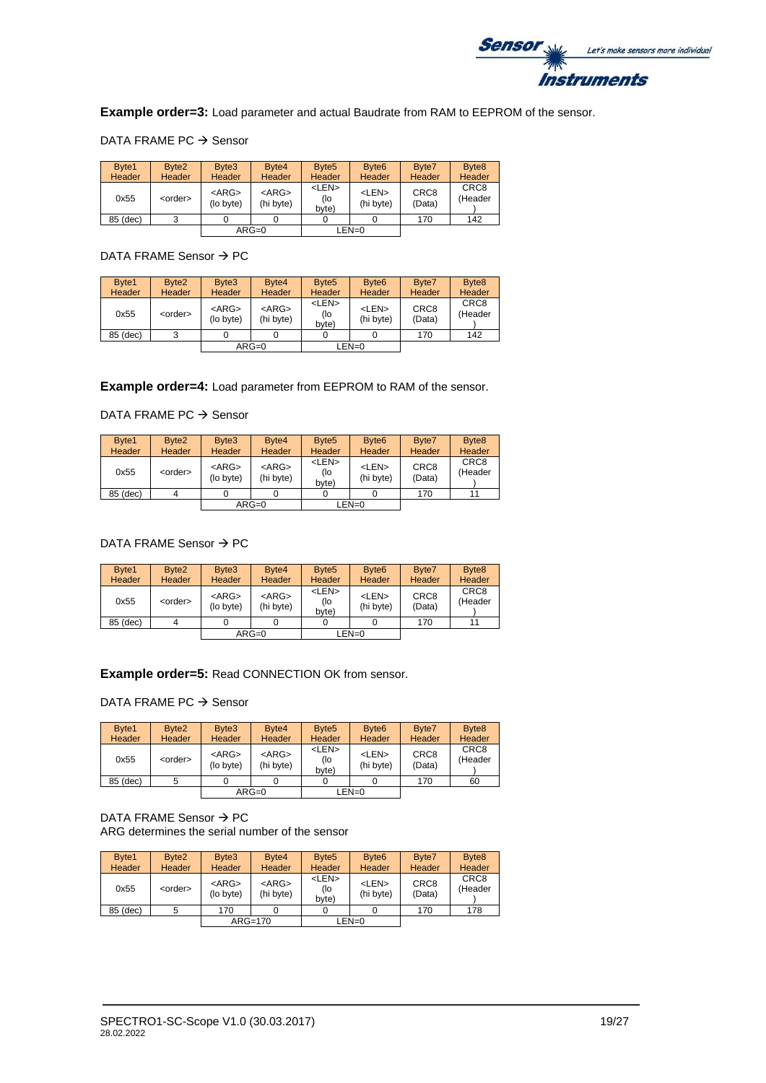

**Example order=3:** Load parameter and actual Baudrate from RAM to EEPROM of the sensor.

### DATA FRAME PC → Sensor

| Byte1<br><b>Header</b> | Byte <sub>2</sub><br><b>Header</b> | Byte3<br>Header          | Byte <sub>4</sub><br><b>Header</b> | Byte <sub>5</sub><br>Header   | Byte <sub>6</sub><br><b>Header</b> | Byte7<br>Header            | Byte <sub>8</sub><br>Header |
|------------------------|------------------------------------|--------------------------|------------------------------------|-------------------------------|------------------------------------|----------------------------|-----------------------------|
| 0x55                   | <order></order>                    | $<$ ARG $>$<br>(lo byte) | $<$ ARG $>$<br>(hi byte)           | <len><br/>(lo<br/>byte)</len> | <len><br/>(hi byte)</len>          | CRC <sub>8</sub><br>(Data) | CRC <sub>8</sub><br>(Header |
| 85 (dec)               | 3                                  |                          |                                    |                               |                                    | 170                        | 142                         |
|                        |                                    |                          | $ARG=0$                            |                               | $LEN=0$                            |                            |                             |

### DATA FRAME Sensor → PC

| Byte1<br>Header | Byte <sub>2</sub><br><b>Header</b> | Byte3<br>Header          | Byte4<br><b>Header</b>   | Byte <sub>5</sub><br><b>Header</b> | Byte <sub>6</sub><br>Header | Byte7<br><b>Header</b>     | Byte <sub>8</sub><br>Header |
|-----------------|------------------------------------|--------------------------|--------------------------|------------------------------------|-----------------------------|----------------------------|-----------------------------|
| 0x55            | <order></order>                    | $<$ ARG $>$<br>(lo byte) | $<$ ARG $>$<br>(hi byte) | <len><br/>(lo<br/>byte)</len>      | <len><br/>(hi byte)</len>   | CRC <sub>8</sub><br>(Data) | CRC <sub>8</sub><br>(Header |
| 85 (dec)        | 3                                  |                          |                          |                                    |                             | 170                        | 142                         |
|                 |                                    |                          | $ARG=0$                  |                                    | $LEN=0$                     |                            |                             |

**Example order=4:** Load parameter from EEPROM to RAM of the sensor.

# DATA FRAME PC → Sensor

| Byte1<br><b>Header</b> | Byte2<br><b>Header</b> | Byte3<br><b>Header</b>   | Byte4<br><b>Header</b>   | Byte <sub>5</sub><br><b>Header</b> | Byte <sub>6</sub><br>Header | Byte7<br>Header            | Byte <sub>8</sub><br>Header |
|------------------------|------------------------|--------------------------|--------------------------|------------------------------------|-----------------------------|----------------------------|-----------------------------|
| 0x55                   | <order></order>        | $<$ ARG $>$<br>(lo byte) | $<$ ARG $>$<br>(hi byte) | <len><br/>(lo<br/>byte)</len>      | <len><br/>(hi byte)</len>   | CRC <sub>8</sub><br>(Data) | CRC <sub>8</sub><br>(Header |
| 85 (dec)               |                        |                          |                          |                                    |                             | 170                        | 11                          |
|                        |                        |                          | $ARG=0$                  |                                    | LEN=0                       |                            |                             |

# DATA FRAME Sensor → PC

| Byte1<br><b>Header</b> | Byte <sub>2</sub><br><b>Header</b> | Byte3<br><b>Header</b>   | Byte4<br><b>Header</b>   | Byte <sub>5</sub><br><b>Header</b> | Byte <sub>6</sub><br><b>Header</b> | Byte7<br><b>Header</b>     | Byte <sub>8</sub><br>Header |
|------------------------|------------------------------------|--------------------------|--------------------------|------------------------------------|------------------------------------|----------------------------|-----------------------------|
| 0x55                   | <order></order>                    | $<$ ARG $>$<br>(lo byte) | $<$ ARG $>$<br>(hi byte) | <len><br/>(lo<br/>byte)</len>      | <len><br/>(hi byte)</len>          | CRC <sub>8</sub><br>(Data) | CRC <sub>8</sub><br>(Header |
| 85 (dec)               | 4                                  |                          |                          |                                    |                                    | 170                        | 11                          |
|                        |                                    |                          | $ARG=0$                  |                                    | $LEN=0$                            |                            |                             |

### **Example order=5:** Read CONNECTION OK from sensor.

DATA FRAME PC → Sensor

| Byte1<br>Header | Byte <sub>2</sub><br><b>Header</b> | Byte3<br>Header          | Byte4<br><b>Header</b>   | Byte <sub>5</sub><br>Header   | Byte <sub>6</sub><br>Header | Byte7<br>Header            | Byte <sub>8</sub><br>Header |
|-----------------|------------------------------------|--------------------------|--------------------------|-------------------------------|-----------------------------|----------------------------|-----------------------------|
| 0x55            | <order></order>                    | $<$ ARG $>$<br>(lo byte) | $<$ ARG $>$<br>(hi byte) | <len><br/>(lo<br/>byte)</len> | <len><br/>(hi byte)</len>   | CRC <sub>8</sub><br>(Data) | CRC <sub>8</sub><br>(Header |
| 85 (dec)        |                                    |                          |                          |                               |                             | 170                        | 60                          |
|                 |                                    |                          | $ARG=0$                  |                               | LEN=0                       |                            |                             |

DATA FRAME Sensor → PC ARG determines the serial number of the sensor

| Byte1<br>Header | Byte <sub>2</sub><br><b>Header</b> | Byte3<br>Header          | Byte <sub>4</sub><br>Header | Byte <sub>5</sub><br><b>Header</b> | Byte <sub>6</sub><br><b>Header</b> | Byte7<br>Header            | Byte <sub>8</sub><br>Header |
|-----------------|------------------------------------|--------------------------|-----------------------------|------------------------------------|------------------------------------|----------------------------|-----------------------------|
| 0x55            | <order></order>                    | $<$ ARG $>$<br>(lo byte) | $<$ ARG $>$<br>(hi byte)    | <len><br/>(lo<br/>byte)</len>      | <len><br/>(hi byte)</len>          | CRC <sub>8</sub><br>(Data) | CRC <sub>8</sub><br>(Header |
| 85 (dec)        |                                    | 170                      |                             |                                    |                                    | 170                        | 178                         |
|                 |                                    |                          | ARG=170                     |                                    | $LEN=0$                            |                            |                             |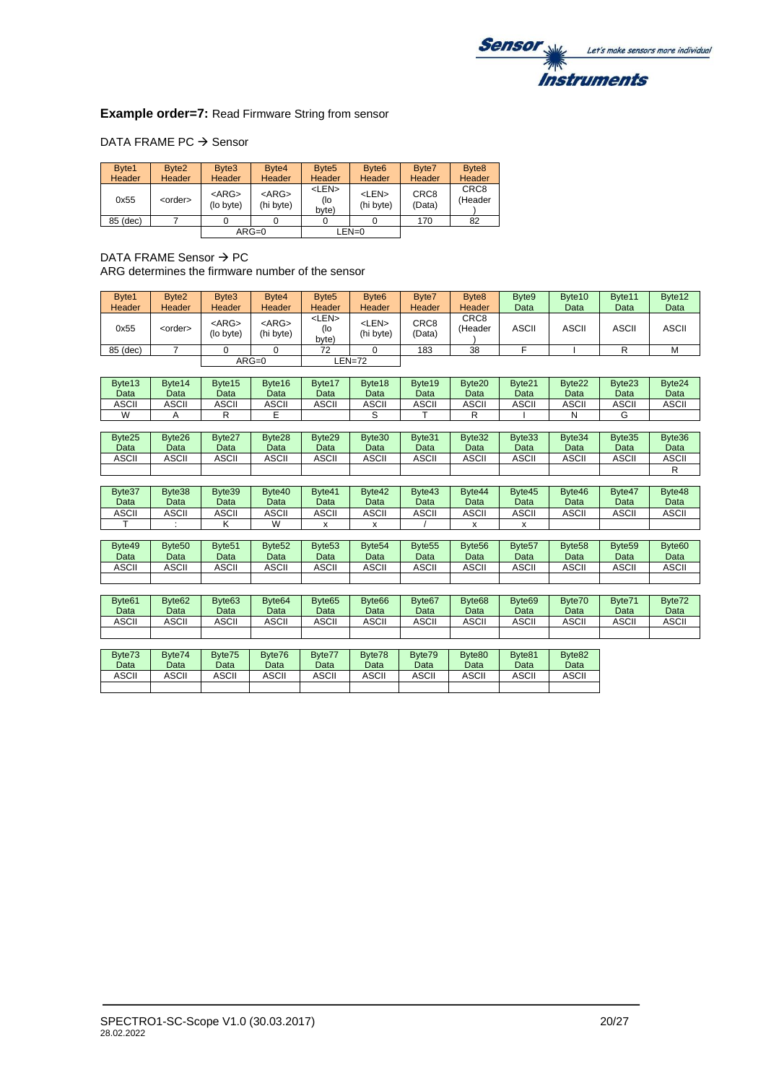

### **Example order=7: Read Firmware String from sensor**

### DATA FRAME PC → Sensor

| Byte1         | Byte <sub>2</sub> | Byte3                    | Byte <sub>4</sub>        | Byte <sub>5</sub>             | Byte <sub>6</sub>         | Byte7                      | Byte <sub>8</sub>           |
|---------------|-------------------|--------------------------|--------------------------|-------------------------------|---------------------------|----------------------------|-----------------------------|
| <b>Header</b> | <b>Header</b>     | Header                   | <b>Header</b>            | <b>Header</b>                 | Header                    | Header                     | Header                      |
| 0x55          | <order></order>   | $<$ ARG $>$<br>(lo byte) | $<$ ARG $>$<br>(hi byte) | <len><br/>(lo<br/>byte)</len> | <len><br/>(hi byte)</len> | CRC <sub>8</sub><br>(Data) | CRC <sub>8</sub><br>(Header |
| 85 (dec)      |                   |                          |                          |                               |                           | 170                        | 82                          |
|               |                   |                          | $ARG=0$                  |                               | LEN=0                     |                            |                             |

DATA FRAME Sensor  $\rightarrow$  PC ARG determines the firmware number of the sensor

| Byte1          | Byte2                      | Byte3                      | Byte4                      | Byte <sub>5</sub>             | Byte <sub>6</sub>          | Byte7                      | Byte8                      | Byte9                      | Byte10                     | Byte11                     | Byte12                     |
|----------------|----------------------------|----------------------------|----------------------------|-------------------------------|----------------------------|----------------------------|----------------------------|----------------------------|----------------------------|----------------------------|----------------------------|
| Header         | Header                     | Header                     | Header                     | Header                        | Header                     | Header                     | Header                     | Data                       | Data                       | Data                       | Data                       |
| 0x55           | <order></order>            | $<$ ARG $>$<br>(lo byte)   | $<$ ARG $>$<br>(hi byte)   | <len><br/>(lo<br/>byte)</len> | $<$ LEN $>$<br>(hi byte)   | CRC8<br>(Data)             | CRC8<br>(Header            | <b>ASCII</b>               | <b>ASCII</b>               | <b>ASCII</b>               | <b>ASCII</b>               |
| 85 (dec)       | $\overline{7}$             | $\Omega$                   | $\Omega$                   | 72                            | $\Omega$                   | 183                        | 38                         | F                          |                            | R                          | M                          |
|                |                            |                            | $ARG=0$                    |                               | $LEN=72$                   |                            |                            |                            |                            |                            |                            |
| Byte13         | Byte14                     | Byte15                     | Byte16                     | Byte17                        | Byte18                     | Byte19                     | Byte20                     | Byte21                     | Byte22                     | Byte23                     | Byte24                     |
| Data           | Data                       | Data                       | Data                       | Data                          | Data                       | Data                       | Data                       | Data                       | Data                       | Data                       | Data                       |
| <b>ASCII</b>   | <b>ASCII</b>               | <b>ASCII</b>               | <b>ASCII</b>               | <b>ASCII</b>                  | <b>ASCII</b>               | <b>ASCII</b>               | <b>ASCII</b>               | <b>ASCII</b>               | <b>ASCII</b>               | <b>ASCII</b>               | <b>ASCII</b>               |
| W              | A                          | $\mathsf{R}$               | E                          |                               | S                          | т                          | $\mathsf{R}$               |                            | N                          | G                          |                            |
|                |                            |                            |                            |                               |                            |                            |                            |                            |                            |                            |                            |
| Byte25<br>Data | Byte26<br>Data             | Byte27<br>Data             | Byte28<br>Data             | Byte29<br>Data                | Byte30<br>Data             | Byte31<br>Data             | Byte32<br>Data             | Byte33<br>Data             | Byte34<br>Data             | Byte35<br>Data             | Byte36<br>Data             |
| <b>ASCII</b>   | <b>ASCII</b>               | <b>ASCII</b>               | <b>ASCII</b>               | <b>ASCII</b>                  | <b>ASCII</b>               | <b>ASCII</b>               | <b>ASCII</b>               | <b>ASCII</b>               | <b>ASCII</b>               | <b>ASCII</b>               | <b>ASCII</b>               |
|                |                            |                            |                            |                               |                            |                            |                            |                            |                            |                            | R                          |
|                |                            |                            |                            |                               |                            |                            |                            |                            |                            |                            |                            |
| Byte37<br>Data | Byte38<br>Data             | Byte39<br>Data             | Byte40<br>Data             | Byte41<br>Data                | Byte42<br>Data             | Byte43<br>Data             | Byte44<br>Data             | Byte45<br>Data             | Byte46<br>Data             | Byte47<br>Data             | Byte48<br>Data             |
| <b>ASCII</b>   | <b>ASCII</b>               | <b>ASCII</b>               | <b>ASCII</b>               | <b>ASCII</b>                  | <b>ASCII</b>               | <b>ASCII</b>               | <b>ASCII</b>               | <b>ASCII</b>               | <b>ASCII</b>               | <b>ASCII</b>               | <b>ASCII</b>               |
| т              |                            | Κ                          | W                          | x                             | X                          |                            | х                          | X                          |                            |                            |                            |
|                |                            |                            |                            |                               |                            |                            |                            |                            |                            |                            |                            |
| Byte49<br>Data | Byte <sub>50</sub><br>Data | Byte <sub>51</sub><br>Data | Byte <sub>52</sub><br>Data | Byte <sub>53</sub><br>Data    | Byte <sub>54</sub><br>Data | Byte <sub>55</sub><br>Data | Byte <sub>56</sub><br>Data | Byte <sub>57</sub><br>Data | Byte <sub>58</sub><br>Data | Byte <sub>59</sub><br>Data | Byte <sub>60</sub><br>Data |
| <b>ASCII</b>   | <b>ASCII</b>               | <b>ASCII</b>               | <b>ASCII</b>               | <b>ASCII</b>                  | <b>ASCII</b>               | <b>ASCII</b>               | <b>ASCII</b>               | <b>ASCII</b>               | <b>ASCII</b>               | <b>ASCII</b>               | <b>ASCII</b>               |
|                |                            |                            |                            |                               |                            |                            |                            |                            |                            |                            |                            |
|                |                            |                            |                            |                               |                            |                            |                            |                            |                            |                            |                            |
| Byte61         | Byte62                     | Byte63                     | Byte <sub>64</sub>         | Byte <sub>65</sub>            | Byte66                     | Byte67                     | Byte <sub>68</sub>         | Byte <sub>69</sub>         | Byte70                     | Byte71                     | Byte72                     |
| Data           | Data                       | Data                       | Data                       | Data                          | Data                       | Data                       | Data                       | Data                       | Data                       | Data                       | Data                       |
| <b>ASCII</b>   | <b>ASCII</b>               | <b>ASCII</b>               | <b>ASCII</b>               | <b>ASCII</b>                  | <b>ASCII</b>               | <b>ASCII</b>               | <b>ASCII</b>               | <b>ASCII</b>               | <b>ASCII</b>               | <b>ASCII</b>               | <b>ASCII</b>               |
|                |                            |                            |                            |                               |                            |                            |                            |                            |                            |                            |                            |
|                |                            |                            |                            |                               |                            |                            |                            |                            |                            |                            |                            |

| Byte73<br>Data | Byte74<br>Data | Byte75<br>Data | Byte76<br>Data | Byte77<br>Data | Byte78<br>Data | Byte79<br>Data | Byte80<br>Data | Byte81<br>Data | Byte <sub>82</sub><br>Data |
|----------------|----------------|----------------|----------------|----------------|----------------|----------------|----------------|----------------|----------------------------|
| ASCII          | ASCII          | ASCII          | ASCII          | ASCII          | ASCII          | ASCII          | ASCII          | ASCII          | ASCII                      |
|                |                |                |                |                |                |                |                |                |                            |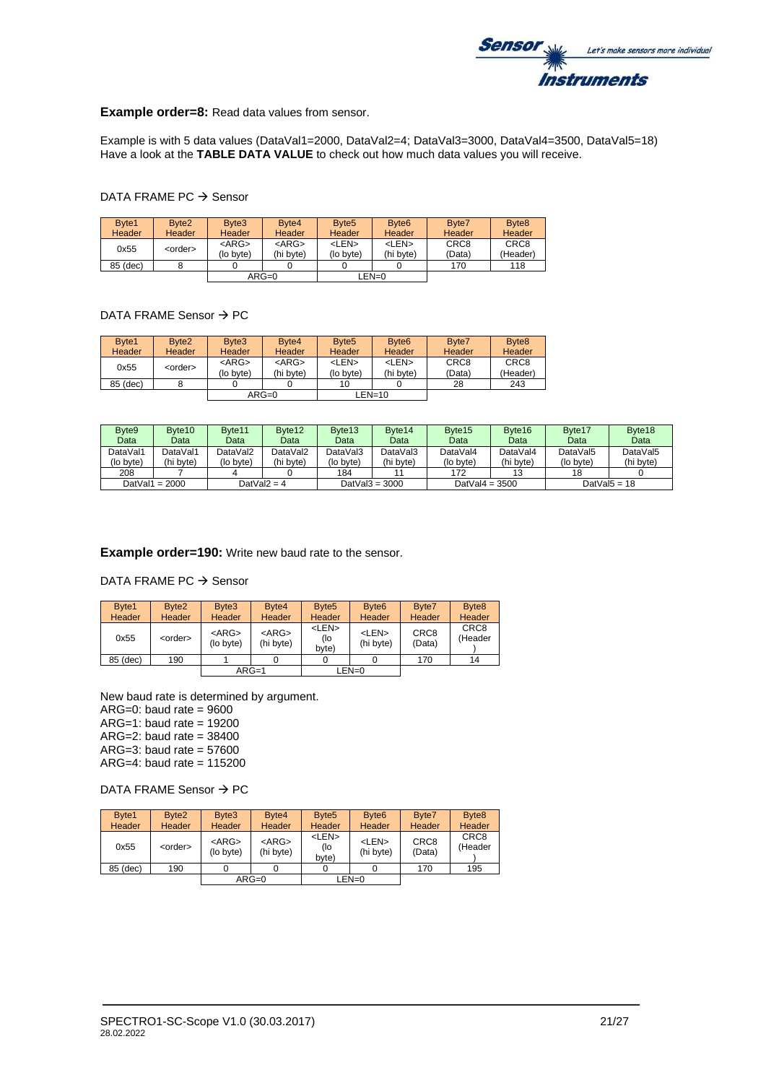

**Example order=8:** Read data values from sensor.

Example is with 5 data values (DataVal1=2000, DataVal2=4; DataVal3=3000, DataVal4=3500, DataVal5=18) Have a look at the **TABLE DATA VALUE** to check out how much data values you will receive.

#### DATA FRAME PC → Sensor

| Byte1<br>Header | Byte <sub>2</sub><br>Header | Byte3<br>Header          | Byte4<br>Header          | Byte <sub>5</sub><br><b>Header</b> | Byte <sub>6</sub><br>Header | Byte7<br>Header            | Byte <sub>8</sub><br>Header  |
|-----------------|-----------------------------|--------------------------|--------------------------|------------------------------------|-----------------------------|----------------------------|------------------------------|
| 0x55            | <order></order>             | $<$ ARG $>$<br>(lo byte) | $<$ ARG $>$<br>(hi bvte) | <len><br/>(lo byte)</len>          | <len><br/>(hi byte)</len>   | CRC <sub>8</sub><br>(Data) | CRC <sub>8</sub><br>(Header) |
| 85 (dec)        |                             |                          |                          |                                    |                             | 170                        | 118                          |
|                 |                             |                          | $ARG=0$                  |                                    | LEN=0                       |                            |                              |

#### DATA FRAME Sensor → PC

| Byte1<br><b>Header</b> | Byte <sub>2</sub><br>Header | Byte3<br>Header          | Byte <sub>4</sub><br><b>Header</b> | Byte <sub>5</sub><br><b>Header</b> | Byte <sub>6</sub><br>Header | Byte7<br>Header            | Byte <sub>8</sub><br><b>Header</b> |
|------------------------|-----------------------------|--------------------------|------------------------------------|------------------------------------|-----------------------------|----------------------------|------------------------------------|
| 0x55                   | <order></order>             | $<$ ARG $>$<br>(lo byte) | $<$ ARG $>$<br>(hi byte)           | <len><br/>(lo byte)</len>          | <len><br/>(hi byte)</len>   | CRC <sub>8</sub><br>(Data) | CRC8<br>(Header)                   |
| 85 (dec)               |                             |                          |                                    | 10                                 |                             | 28                         | 243                                |
|                        |                             |                          | $ARG=0$                            |                                    | LEN=10                      |                            |                                    |

| Byte <sub>9</sub> | Byte <sub>10</sub> | Byte <sub>11</sub> | Byte12         | Byte <sub>13</sub> | Byte <sub>14</sub> | Byte <sub>15</sub> | Byte16    | Byte17    | Byte18          |
|-------------------|--------------------|--------------------|----------------|--------------------|--------------------|--------------------|-----------|-----------|-----------------|
| Data              | Data               | Data               | Data           | Data               | Data               | Data               | Data      | Data      | Data            |
| DataVal1          | DataVal1           | DataVal2           | DataVal2       | DataVal3           | DataVal3           | DataVal4           | DataVal4  | DataVal5  | DataVal5        |
| (lo byte)         | (hi byte)          | (lo bvte)          | (hi byte)      | (lo byte)          | (hi byte)          | (lo byte)          | (hi bvte) | (lo byte) | (hi byte)       |
| 208               |                    |                    |                | 184                |                    | 172                | 13        | 18        |                 |
| DatVal1 = $2000$  |                    |                    | DatVal $2 = 4$ |                    | DatVal $3 = 3000$  | DatVal $4 = 3500$  |           |           | DatVal $5 = 18$ |

**Example order=190:** Write new baud rate to the sensor.

DATA FRAME PC → Sensor

| Byte1<br>Header | Byte2<br><b>Header</b> | Byte3<br>Header          | Byte <sub>4</sub><br><b>Header</b> | Byte <sub>5</sub><br>Header   | Byte <sub>6</sub><br><b>Header</b> | Byte7<br>Header            | Byte <sub>8</sub><br>Header |
|-----------------|------------------------|--------------------------|------------------------------------|-------------------------------|------------------------------------|----------------------------|-----------------------------|
| 0x55            | <order></order>        | $<$ ARG $>$<br>(lo byte) | $<$ ARG $>$<br>(hi byte)           | <len><br/>(lo<br/>byte)</len> | <len><br/>(hi byte)</len>          | CRC <sub>8</sub><br>(Data) | CRC <sub>8</sub><br>(Header |
| 85 (dec)        | 190                    |                          |                                    |                               |                                    | 170                        | 14                          |
|                 |                        |                          | $ARG=1$                            |                               | $LEN=0$                            |                            |                             |

New baud rate is determined by argument.  $ARG=0$ : baud rate = 9600  $ARG=1$ : baud rate = 19200  $ARG=2$ : baud rate = 38400 ARG=3: baud rate =  $57600$ ARG=4: baud rate = 115200

DATA FRAME Sensor → PC

| Byte1<br><b>Header</b> | Byte <sub>2</sub><br><b>Header</b> | Byte3<br><b>Header</b>   | Byte4<br>Header          | Byte <sub>5</sub><br><b>Header</b> | Byte <sub>6</sub><br><b>Header</b> | Byte7<br>Header            | Byte <sub>8</sub><br>Header |
|------------------------|------------------------------------|--------------------------|--------------------------|------------------------------------|------------------------------------|----------------------------|-----------------------------|
| 0x55                   | <order></order>                    | $<$ ARG $>$<br>(lo byte) | $<$ ARG $>$<br>(hi byte) | <len><br/>(lo<br/>byte)</len>      | <len><br/>(hi byte)</len>          | CRC <sub>8</sub><br>(Data) | CRC <sub>8</sub><br>(Header |
| 85 (dec)               | 190                                |                          |                          |                                    |                                    | 170                        | 195                         |
|                        |                                    |                          | $ARG=0$                  |                                    | LEN=0                              |                            |                             |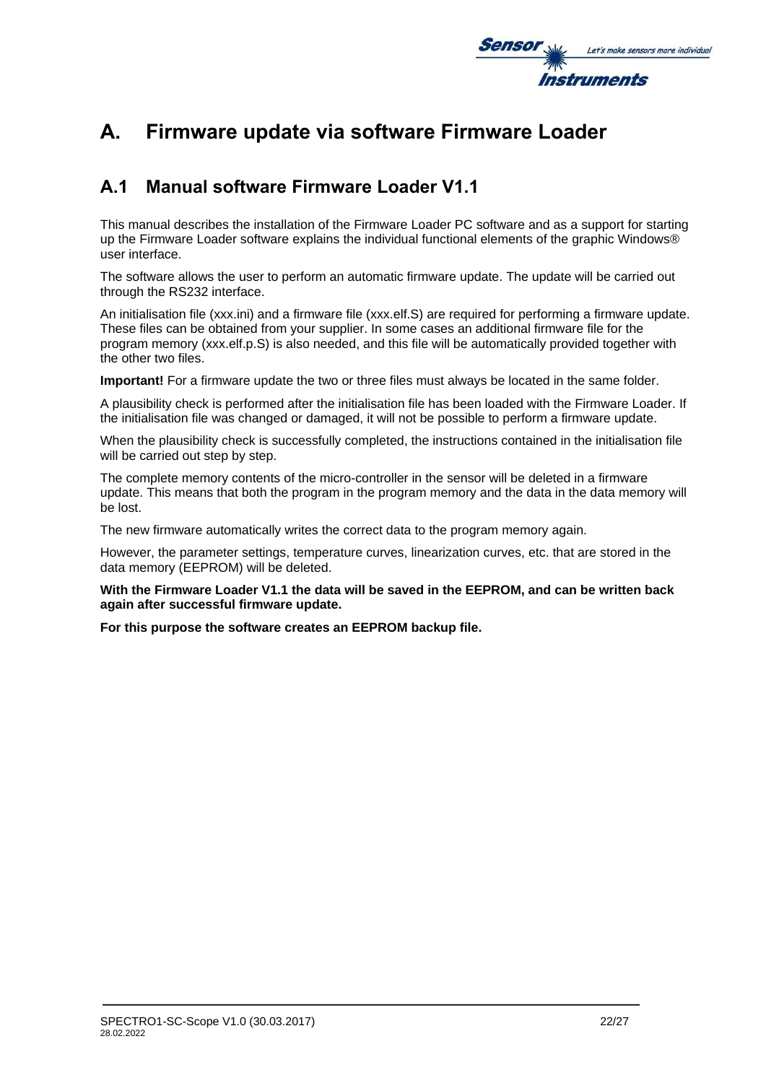

# **A. Firmware update via software Firmware Loader**

# **A.1 Manual software Firmware Loader V1.1**

This manual describes the installation of the Firmware Loader PC software and as a support for starting up the Firmware Loader software explains the individual functional elements of the graphic Windows® user interface.

The software allows the user to perform an automatic firmware update. The update will be carried out through the RS232 interface.

An initialisation file (xxx.ini) and a firmware file (xxx.elf.S) are required for performing a firmware update. These files can be obtained from your supplier. In some cases an additional firmware file for the program memory (xxx.elf.p.S) is also needed, and this file will be automatically provided together with the other two files.

**Important!** For a firmware update the two or three files must always be located in the same folder.

A plausibility check is performed after the initialisation file has been loaded with the Firmware Loader. If the initialisation file was changed or damaged, it will not be possible to perform a firmware update.

When the plausibility check is successfully completed, the instructions contained in the initialisation file will be carried out step by step.

The complete memory contents of the micro-controller in the sensor will be deleted in a firmware update. This means that both the program in the program memory and the data in the data memory will be lost.

The new firmware automatically writes the correct data to the program memory again.

However, the parameter settings, temperature curves, linearization curves, etc. that are stored in the data memory (EEPROM) will be deleted.

**With the Firmware Loader V1.1 the data will be saved in the EEPROM, and can be written back again after successful firmware update.**

**For this purpose the software creates an EEPROM backup file.**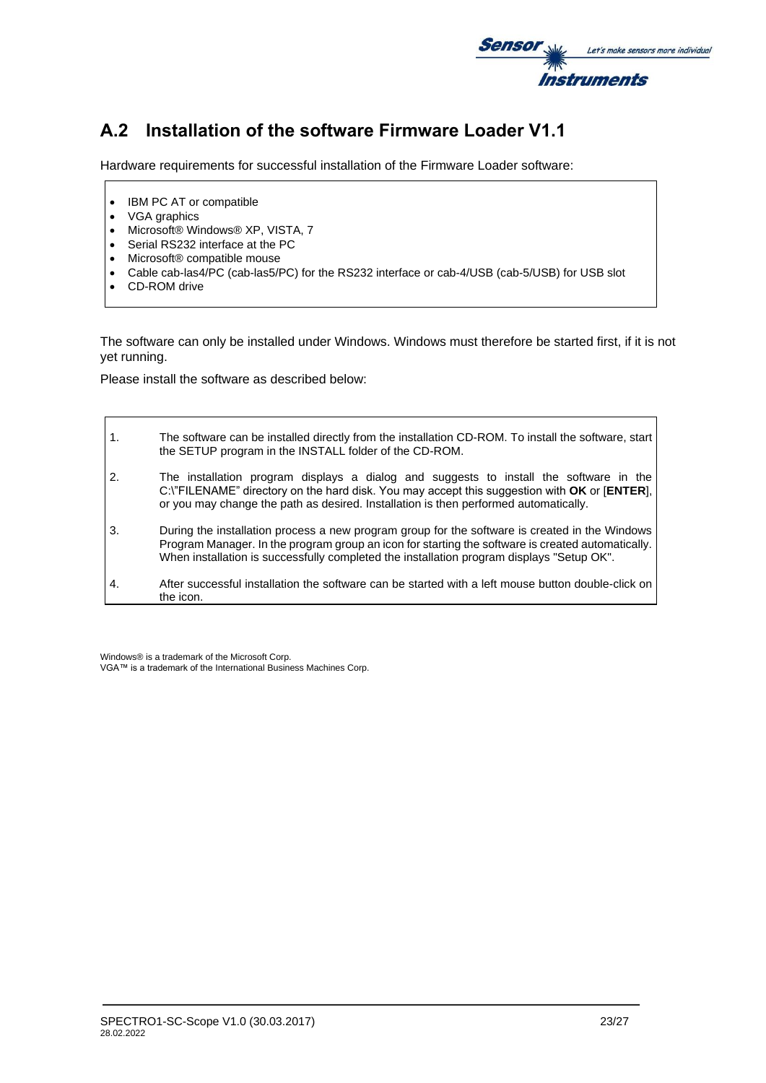

# **A.2 Installation of the software Firmware Loader V1.1**

Hardware requirements for successful installation of the Firmware Loader software:

- IBM PC AT or compatible
- VGA graphics
- Microsoft® Windows® XP, VISTA, 7
- Serial RS232 interface at the PC
- Microsoft® compatible mouse
- Cable cab-las4/PC (cab-las5/PC) for the RS232 interface or cab-4/USB (cab-5/USB) for USB slot
- CD-ROM drive

The software can only be installed under Windows. Windows must therefore be started first, if it is not yet running.

Please install the software as described below:

| $\mathbf{1}$ . | The software can be installed directly from the installation CD-ROM. To install the software, start<br>the SETUP program in the INSTALL folder of the CD-ROM.                                                                                                                                    |
|----------------|--------------------------------------------------------------------------------------------------------------------------------------------------------------------------------------------------------------------------------------------------------------------------------------------------|
| 2.             | The installation program displays a dialog and suggests to install the software in the<br>C:\"FILENAME" directory on the hard disk. You may accept this suggestion with OK or [ENTER],<br>or you may change the path as desired. Installation is then performed automatically.                   |
| $\mathbf{3}$   | During the installation process a new program group for the software is created in the Windows<br>Program Manager. In the program group an icon for starting the software is created automatically.<br>When installation is successfully completed the installation program displays "Setup OK". |
| 4.             | After successful installation the software can be started with a left mouse button double-click on<br>the icon.                                                                                                                                                                                  |

Windows® is a trademark of the Microsoft Corp.

VGA™ is a trademark of the International Business Machines Corp.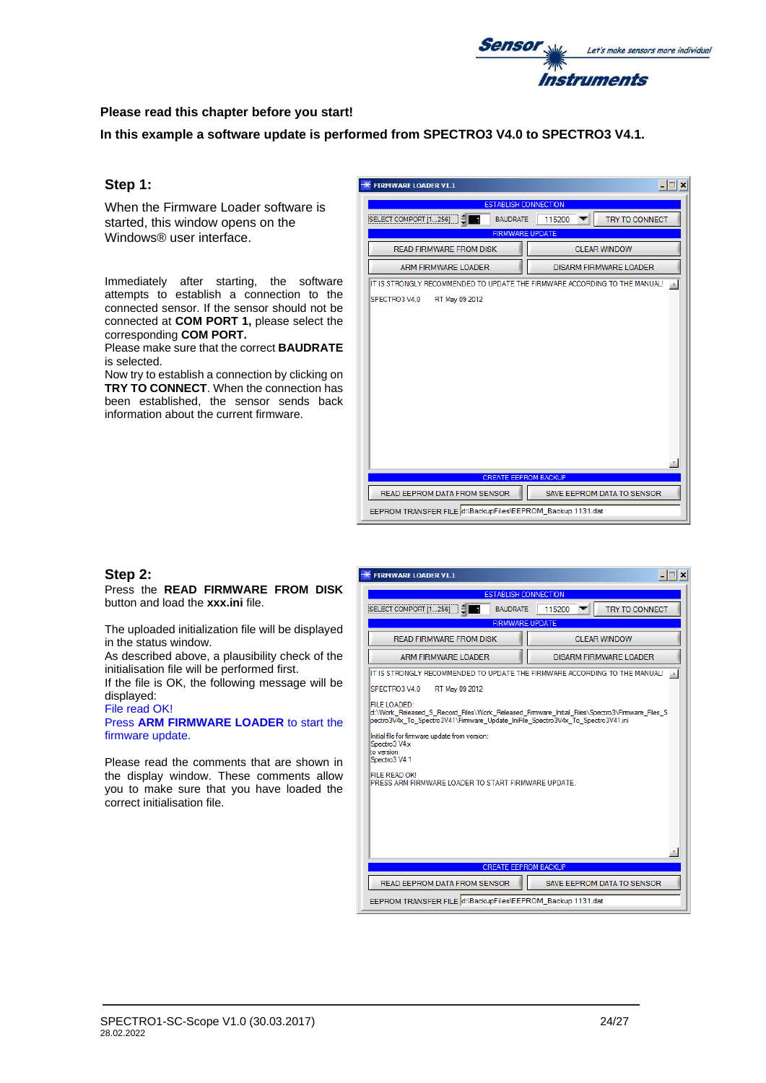

### **Please read this chapter before you start!**

**In this example a software update is performed from SPECTRO3 V4.0 to SPECTRO3 V4.1.**

### **Step 1:**

When the Firmware Loader software is started, this window opens on the Windows® user interface.

Immediately after starting, the software attempts to establish a connection to the connected sensor. If the sensor should not be connected at **COM PORT 1,** please select the corresponding **COM PORT.**

Please make sure that the correct **BAUDRATE** is selected.

Now try to establish a connection by clicking on **TRY TO CONNECT**. When the connection has been established, the sensor sends back information about the current firmware.

| <b>FIRMWARE LOADER V1.1</b>                                                |                                                            |  |  |
|----------------------------------------------------------------------------|------------------------------------------------------------|--|--|
| <b>ESTABLISH CONNECTION</b>                                                |                                                            |  |  |
| SELECT COMPORT [1256]<br><b>BAUDRATE</b>                                   | <b>TRY TO CONNECT</b><br>115200                            |  |  |
| <b>FIRMWARE UPDATE</b>                                                     |                                                            |  |  |
| <b>READ FIRMWARE FROM DISK</b>                                             | <b>CLEAR WINDOW</b>                                        |  |  |
| <b>ARM FIRMWARE LOADER</b>                                                 | <b>DISARM FIRMWARE LOADER</b>                              |  |  |
| IT IS STRONGLY RECOMMENDED TO UPDATE THE FIRMWARE ACCORDING TO THE MANUAL! |                                                            |  |  |
| SPECTRO3 V4.0<br>RT May 09 2012                                            |                                                            |  |  |
|                                                                            |                                                            |  |  |
|                                                                            |                                                            |  |  |
|                                                                            |                                                            |  |  |
|                                                                            |                                                            |  |  |
|                                                                            |                                                            |  |  |
|                                                                            |                                                            |  |  |
|                                                                            |                                                            |  |  |
|                                                                            |                                                            |  |  |
|                                                                            |                                                            |  |  |
|                                                                            |                                                            |  |  |
|                                                                            |                                                            |  |  |
| <b>CREATE EEPROM BACKUP</b>                                                |                                                            |  |  |
| READ EEPROM DATA FROM SENSOR                                               | SAVE EEPROM DATA TO SENSOR                                 |  |  |
|                                                                            | EEPROM TRANSFER FILE d:\BackupFiles\EEPROM_Backup 1131.dat |  |  |

### **Step 2:**

Press the **READ FIRMWARE FROM DISK** button and load the **xxx.ini** file.

The uploaded initialization file will be displayed in the status window.

As described above, a plausibility check of the initialisation file will be performed first.

If the file is OK, the following message will be displayed:

File read OK! Press **ARM FIRMWARE LOADER** to start the firmware update.

Please read the comments that are shown in the display window. These comments allow you to make sure that you have loaded the correct initialisation file.

| $ \Box$ $\times$<br><b>FIRMWARE LOADER V1.1</b>                                                                                                                                                                                                                                                      |                                   |  |  |  |
|------------------------------------------------------------------------------------------------------------------------------------------------------------------------------------------------------------------------------------------------------------------------------------------------------|-----------------------------------|--|--|--|
| <b>ESTABLISH CONNECTION</b>                                                                                                                                                                                                                                                                          |                                   |  |  |  |
| SELECT COMPORT [1256]<br><b>BAUDRATE</b>                                                                                                                                                                                                                                                             | <b>TRY TO CONNECT</b><br>115200   |  |  |  |
| <b>FIRMWARE UPDATE</b>                                                                                                                                                                                                                                                                               |                                   |  |  |  |
| <b>READ FIRMWARE FROM DISK</b>                                                                                                                                                                                                                                                                       | <b>CLEAR WINDOW</b>               |  |  |  |
| <b>ARM FIRMWARE LOADER</b>                                                                                                                                                                                                                                                                           | <b>DISARM FIRMWARE LOADER</b>     |  |  |  |
| IT IS STRONGLY RECOMMENDED TO UPDATE THE FIRMWARE ACCORDING TO THE MANUAL! A                                                                                                                                                                                                                         |                                   |  |  |  |
| SPECTRO3 V4.0<br>RT May 09 2012                                                                                                                                                                                                                                                                      |                                   |  |  |  |
| FILE LOADED:<br>d:\Work Released S Record Files\Work Released Firmware Initial Files\Spectro3\Firmware Files S<br>pectro3V4x To Spectro3V41\Firmware Update IniFile Spectro3V4x To Spectro3V41.ini<br>Initial file for firmware update from version:<br>Spectro3 V4x<br>to version:<br>Spectro3 V4.1 |                                   |  |  |  |
| <b>FILE READ OK!</b><br>PRESS ARM FIRMWARE LOADER TO START FIRMWARE UPDATE.                                                                                                                                                                                                                          |                                   |  |  |  |
|                                                                                                                                                                                                                                                                                                      |                                   |  |  |  |
| <b>CREATE EEPROM BACKUP</b>                                                                                                                                                                                                                                                                          |                                   |  |  |  |
| <b>READ EEPROM DATA FROM SENSOR</b>                                                                                                                                                                                                                                                                  | <b>SAVE EEPROM DATA TO SENSOR</b> |  |  |  |
| EEPROM TRANSFER FILE d:\BackupFiles\EEPROM_Backup 1131.dat                                                                                                                                                                                                                                           |                                   |  |  |  |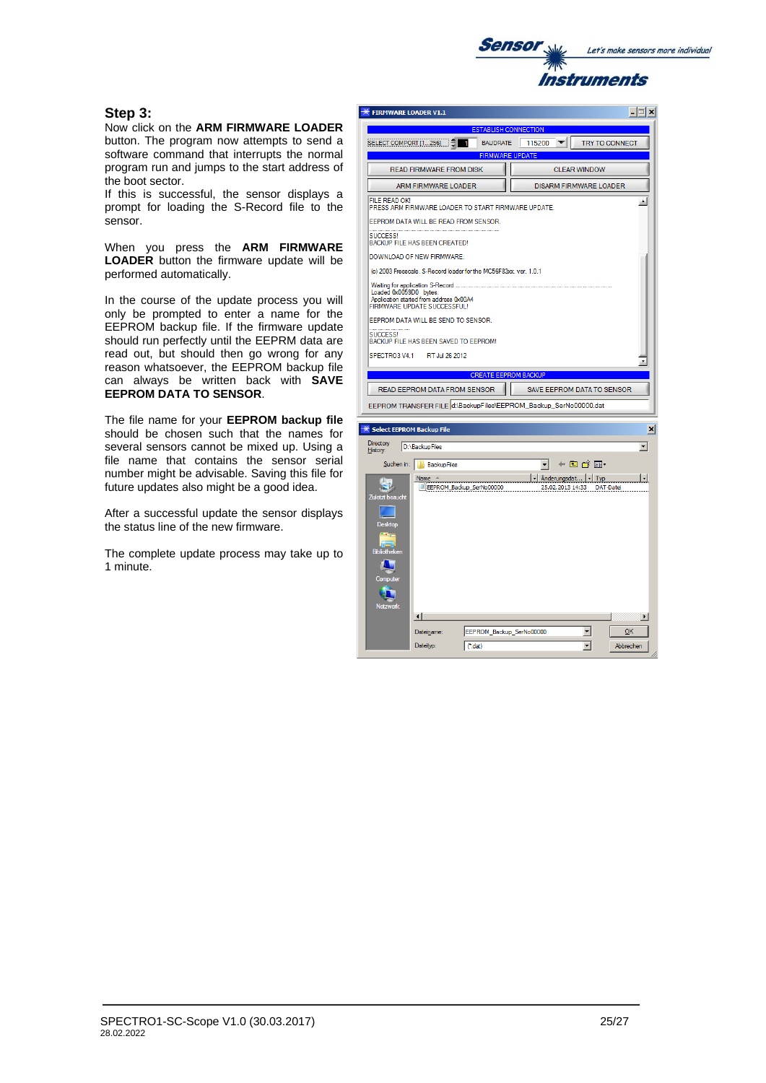

# **Step 3:**

Now click on the **ARM FIRMWARE LOADER**  button. The program now attempts to send a software command that interrupts the normal program run and jumps to the start address of the boot sector.

If this is successful, the sensor displays a prompt for loading the S-Record file to the sensor.

When you press the **ARM FIRMWARE LOADER** button the firmware update will be performed automatically.

In the course of the update process you will only be prompted to enter a name for the EEPROM backup file. If the firmware update should run perfectly until the EEPRM data are read out, but should then go wrong for any reason whatsoever, the EEPROM backup file can always be written back with **SAVE EEPROM DATA TO SENSOR**.

The file name for your **EEPROM backup file** should be chosen such that the names for several sensors cannot be mixed up. Using a file name that contains the sensor serial number might be advisable. Saving this file for future updates also might be a good idea.

After a successful update the sensor displays the status line of the new firmware.

The complete update process may take up to 1 minute.

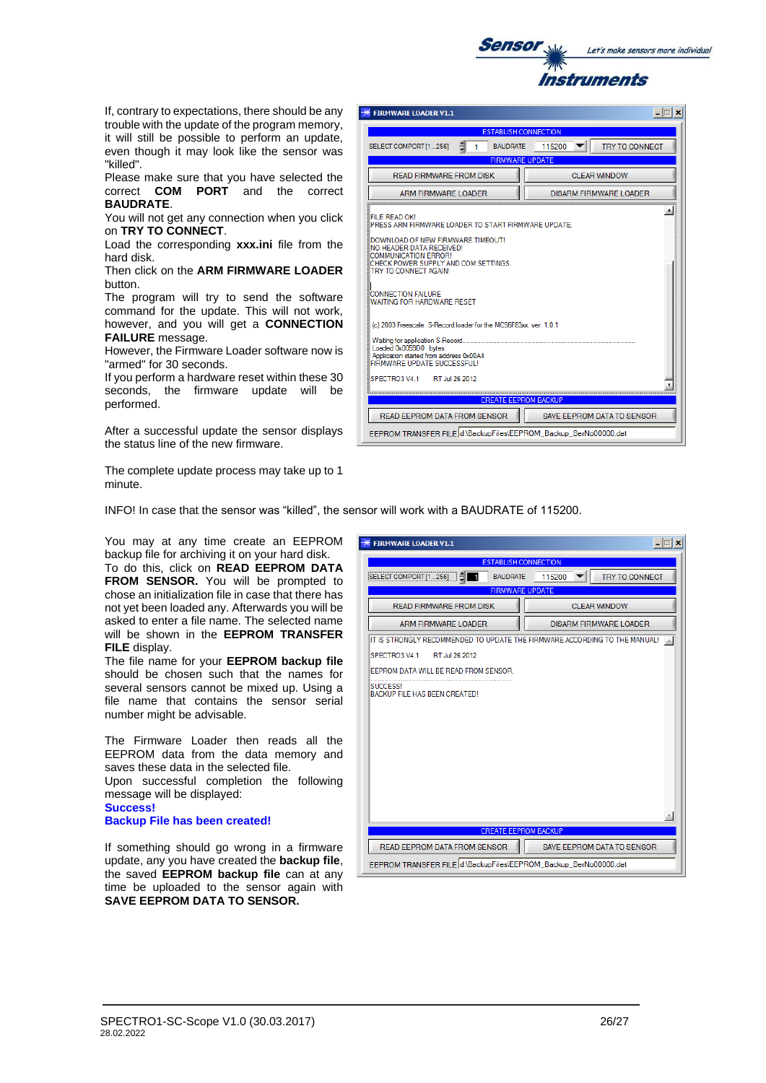

If, contrary to expectations, there should be any trouble with the update of the program memory, it will still be possible to perform an update, even though it may look like the sensor was "killed".

Please make sure that you have selected the correct **COM PORT** and the correct **BAUDRATE**.

You will not get any connection when you click on **TRY TO CONNECT**.

Load the corresponding **xxx.ini** file from the hard disk.

Then click on the **ARM FIRMWARE LOADER** button.

The program will try to send the software command for the update. This will not work, however, and you will get a **CONNECTION FAILURE** message.

However, the Firmware Loader software now is "armed" for 30 seconds.

If you perform a hardware reset within these 30 seconds, the firmware update will be performed.

After a successful update the sensor displays the status line of the new firmware.

The complete update process may take up to 1 minute.

INFO! In case that the sensor was "killed", the sensor will work with a BAUDRATE of 115200.

You may at any time create an EEPROM backup file for archiving it on your hard disk. To do this, click on **READ EEPROM DATA** 

**FROM SENSOR.** You will be prompted to chose an initialization file in case that there has not yet been loaded any. Afterwards you will be asked to enter a file name. The selected name will be shown in the **EEPROM TRANSFER FILE** display.

The file name for your **EEPROM backup file** should be chosen such that the names for several sensors cannot be mixed up. Using a file name that contains the sensor serial number might be advisable.

The Firmware Loader then reads all the EEPROM data from the data memory and saves these data in the selected file. Upon successful completion the following message will be displayed:

**Success!**

**Backup File has been created!**

If something should go wrong in a firmware update, any you have created the **backup file**, the saved **EEPROM backup file** can at any time be uploaded to the sensor again with **SAVE EEPROM DATA TO SENSOR.**

| <b>FIRMWARE LOADER V1.1</b>                                                       | $\Box$ $\Box$ $\times$          |  |  |  |
|-----------------------------------------------------------------------------------|---------------------------------|--|--|--|
| <b>ESTABLISH CONNECTION</b>                                                       |                                 |  |  |  |
| <b>BAUDRATE</b><br>SELECT COMPORT [1256]<br>п                                     | <b>TRY TO CONNECT</b><br>115200 |  |  |  |
| <b>FIRMWARE UPDATE</b>                                                            |                                 |  |  |  |
| <b>READ FIRMWARE FROM DISK</b>                                                    | <b>CLEAR WINDOW</b>             |  |  |  |
| ARM FIRMWARE LOADER                                                               | <b>DISARM FIRMWARE LOADER</b>   |  |  |  |
| IT IS STRONGLY RECOMMENDED TO UPDATE THE FIRMWARE ACCORDING TO THE MANUAL!<br>1AL |                                 |  |  |  |
| SPECTRO3 V4.1<br>RT Jul 26 2012                                                   |                                 |  |  |  |
| EEPROM DATA WILL BE READ FROM SENSOR.                                             |                                 |  |  |  |
| <b>SUCCESS!</b><br>BACKUP FILE HAS BEEN CREATED!                                  |                                 |  |  |  |
| <b>CREATE EEPROM BACKUP</b>                                                       | ×                               |  |  |  |
| READ EEPROM DATA FROM SENSOR                                                      | SAVE EEPROM DATA TO SENSOR      |  |  |  |
| EEPROM TRANSFER FILE d:\BackupFiles\EEPROM_Backup_SerNo00000.dat                  |                                 |  |  |  |

| <b>FIRMWARE LOADER V1.1</b>                                                                                                                                                                                                                                                                                                                                                                                                                                                                                   |                                 |  |  |  |  |
|---------------------------------------------------------------------------------------------------------------------------------------------------------------------------------------------------------------------------------------------------------------------------------------------------------------------------------------------------------------------------------------------------------------------------------------------------------------------------------------------------------------|---------------------------------|--|--|--|--|
| <b>ESTABLISH CONNECTION</b>                                                                                                                                                                                                                                                                                                                                                                                                                                                                                   |                                 |  |  |  |  |
| SELECT COMPORT [1256]<br><b>BAUDRATE</b>                                                                                                                                                                                                                                                                                                                                                                                                                                                                      | <b>TRY TO CONNECT</b><br>115200 |  |  |  |  |
| <b>FIRMWARE UPDATE</b>                                                                                                                                                                                                                                                                                                                                                                                                                                                                                        |                                 |  |  |  |  |
| READ FIRMWARE FROM DISK                                                                                                                                                                                                                                                                                                                                                                                                                                                                                       | CLEAR WINDOW                    |  |  |  |  |
| ARM FIRMWARE LOADER                                                                                                                                                                                                                                                                                                                                                                                                                                                                                           | <b>DISARM FIRMWARE LOADER</b>   |  |  |  |  |
| FILE READ OK!<br>PRESS ARM FIRMWARE LOADER TO START FIRMWARE UPDATE.<br>DOWNLOAD OF NEW FIRMWARE TIMEOUT!<br>NO HEADER DATA RECEIVED!<br><b>COMMUNICATION ERROR!</b><br>CHECK POWER SUPPLY AND COM SETTINGS.<br>TRY TO CONNECT AGAIN!<br><b>CONNECTION FAILURE</b><br>WAITING FOR HARDWARE RESET<br>(c) 2003 Freescale, S-Record loader for the MC56F83xx, ver. 1.0.1<br>Waiting for application S-Record<br>Loaded 0x0059D0 bytes.<br>Application started from address 0x00A4<br>FIRMWARE UPDATE SUCCESSEUL! |                                 |  |  |  |  |
| SPECTRO3 V4 1<br>RT Jul 26 2012                                                                                                                                                                                                                                                                                                                                                                                                                                                                               |                                 |  |  |  |  |
| <b>CREATE EEPROM BACKUP</b>                                                                                                                                                                                                                                                                                                                                                                                                                                                                                   |                                 |  |  |  |  |
| READ EEPROM DATA FROM SENSOR<br>SAVE EEPROM DATA TO SENSOR                                                                                                                                                                                                                                                                                                                                                                                                                                                    |                                 |  |  |  |  |
| EEPROM TRANSFER FILE d:\BackupFiles\EEPROM Backup SerNo00000.dat                                                                                                                                                                                                                                                                                                                                                                                                                                              |                                 |  |  |  |  |